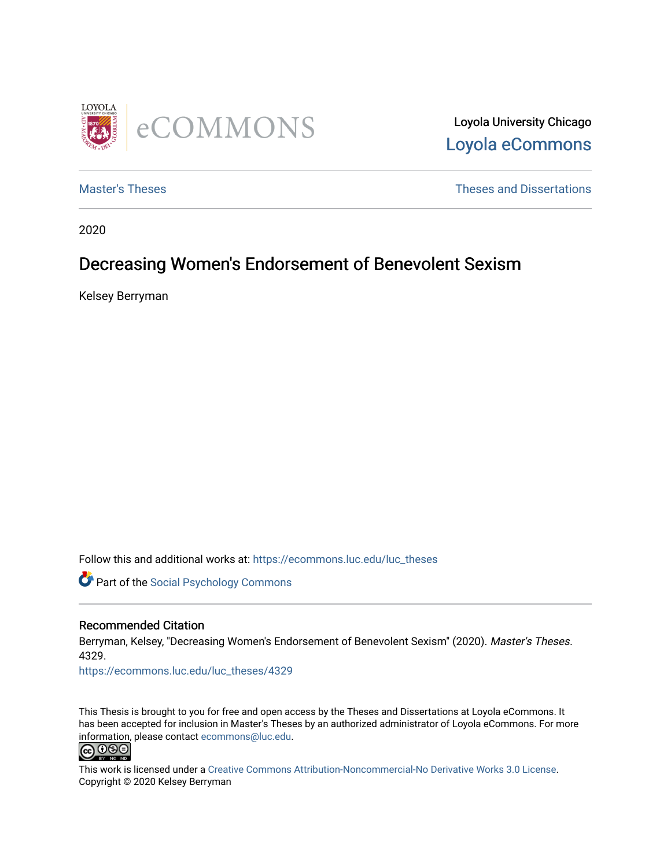

Loyola University Chicago [Loyola eCommons](https://ecommons.luc.edu/) 

[Master's Theses](https://ecommons.luc.edu/luc_theses) **Theses Theses** and Dissertations **Theses** and Dissertations

2020

# Decreasing Women's Endorsement of Benevolent Sexism

Kelsey Berryman

Follow this and additional works at: [https://ecommons.luc.edu/luc\\_theses](https://ecommons.luc.edu/luc_theses?utm_source=ecommons.luc.edu%2Fluc_theses%2F4329&utm_medium=PDF&utm_campaign=PDFCoverPages) 

Part of the [Social Psychology Commons](http://network.bepress.com/hgg/discipline/414?utm_source=ecommons.luc.edu%2Fluc_theses%2F4329&utm_medium=PDF&utm_campaign=PDFCoverPages) 

#### Recommended Citation

Berryman, Kelsey, "Decreasing Women's Endorsement of Benevolent Sexism" (2020). Master's Theses. 4329.

[https://ecommons.luc.edu/luc\\_theses/4329](https://ecommons.luc.edu/luc_theses/4329?utm_source=ecommons.luc.edu%2Fluc_theses%2F4329&utm_medium=PDF&utm_campaign=PDFCoverPages)

This Thesis is brought to you for free and open access by the Theses and Dissertations at Loyola eCommons. It has been accepted for inclusion in Master's Theses by an authorized administrator of Loyola eCommons. For more information, please contact [ecommons@luc.edu.](mailto:ecommons@luc.edu)



This work is licensed under a [Creative Commons Attribution-Noncommercial-No Derivative Works 3.0 License.](https://creativecommons.org/licenses/by-nc-nd/3.0/) Copyright © 2020 Kelsey Berryman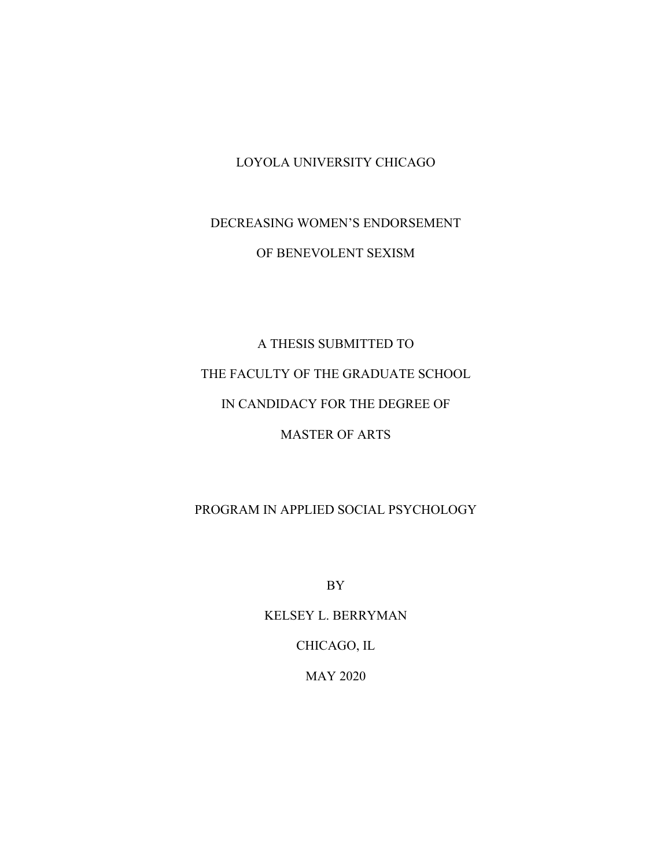# LOYOLA UNIVERSITY CHICAGO

# DECREASING WOMEN'S ENDORSEMENT OF BENEVOLENT SEXISM

# A THESIS SUBMITTED TO THE FACULTY OF THE GRADUATE SCHOOL IN CANDIDACY FOR THE DEGREE OF MASTER OF ARTS

# PROGRAM IN APPLIED SOCIAL PSYCHOLOGY

BY

# KELSEY L. BERRYMAN

CHICAGO, IL

MAY 2020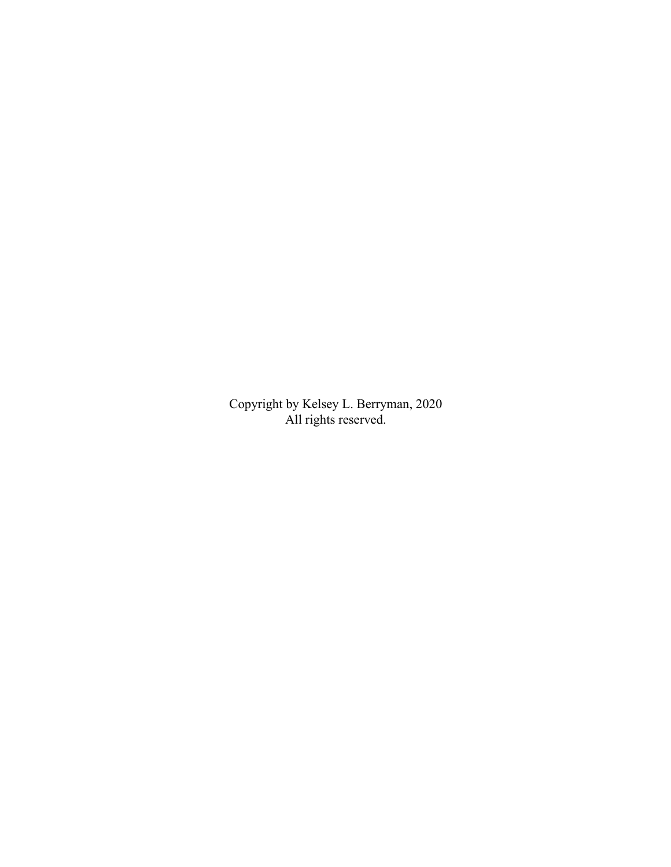Copyright by Kelsey L. Berryman, 2020 All rights reserved.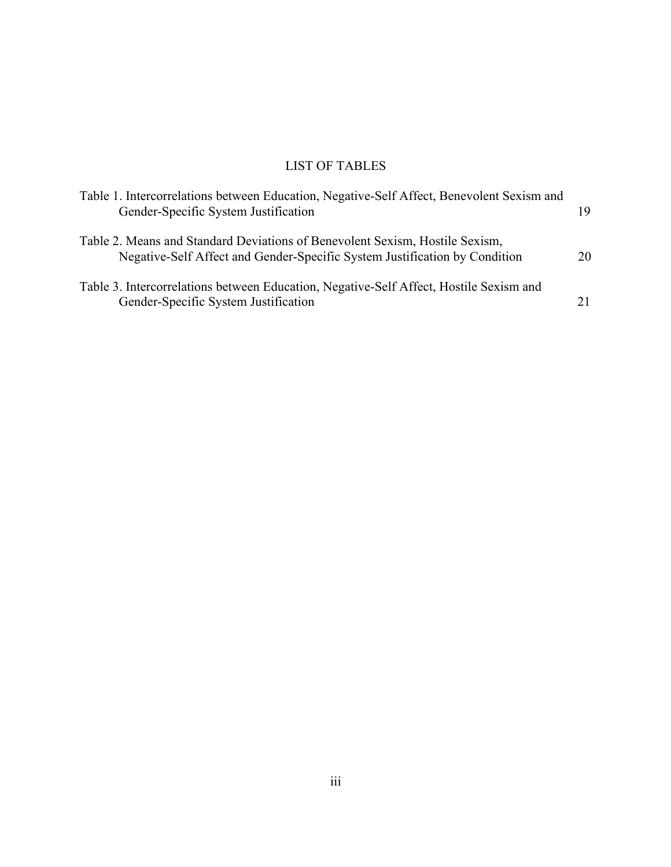# LIST OF TABLES

| Table 1. Intercorrelations between Education, Negative-Self Affect, Benevolent Sexism and<br>Gender-Specific System Justification                          | 19 |
|------------------------------------------------------------------------------------------------------------------------------------------------------------|----|
| Table 2. Means and Standard Deviations of Benevolent Sexism, Hostile Sexism,<br>Negative-Self Affect and Gender-Specific System Justification by Condition | 20 |
| Table 3. Intercorrelations between Education, Negative-Self Affect, Hostile Sexism and<br>Gender-Specific System Justification                             |    |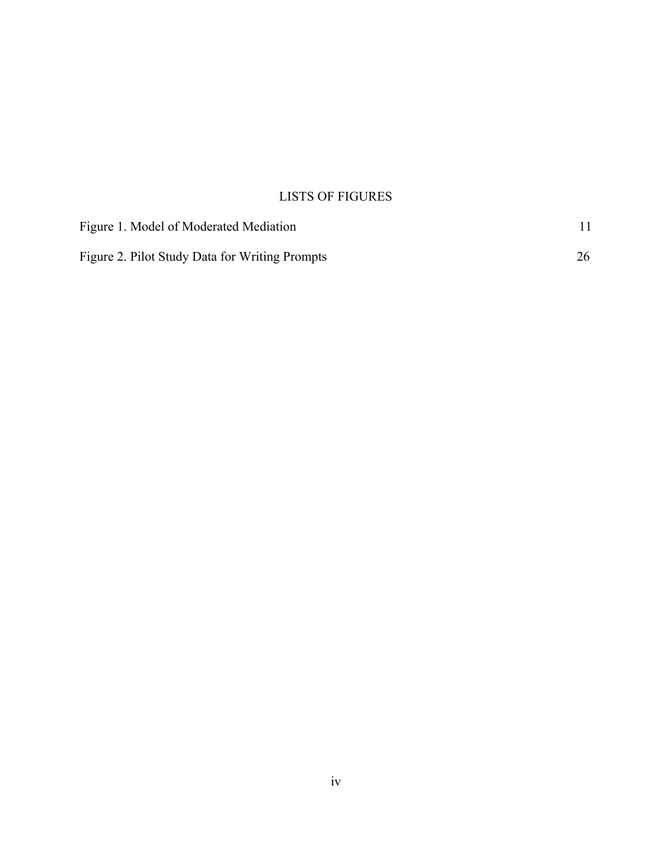# LISTS OF FIGURES

| Figure 1. Model of Moderated Mediation         |  |
|------------------------------------------------|--|
| Figure 2. Pilot Study Data for Writing Prompts |  |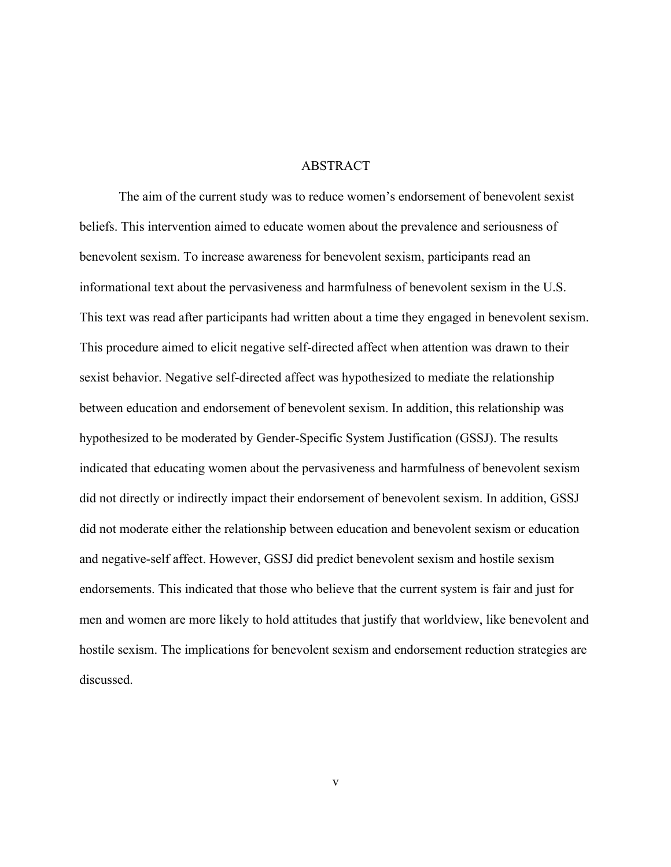#### ABSTRACT

The aim of the current study was to reduce women's endorsement of benevolent sexist beliefs. This intervention aimed to educate women about the prevalence and seriousness of benevolent sexism. To increase awareness for benevolent sexism, participants read an informational text about the pervasiveness and harmfulness of benevolent sexism in the U.S. This text was read after participants had written about a time they engaged in benevolent sexism. This procedure aimed to elicit negative self-directed affect when attention was drawn to their sexist behavior. Negative self-directed affect was hypothesized to mediate the relationship between education and endorsement of benevolent sexism. In addition, this relationship was hypothesized to be moderated by Gender-Specific System Justification (GSSJ). The results indicated that educating women about the pervasiveness and harmfulness of benevolent sexism did not directly or indirectly impact their endorsement of benevolent sexism. In addition, GSSJ did not moderate either the relationship between education and benevolent sexism or education and negative-self affect. However, GSSJ did predict benevolent sexism and hostile sexism endorsements. This indicated that those who believe that the current system is fair and just for men and women are more likely to hold attitudes that justify that worldview, like benevolent and hostile sexism. The implications for benevolent sexism and endorsement reduction strategies are discussed.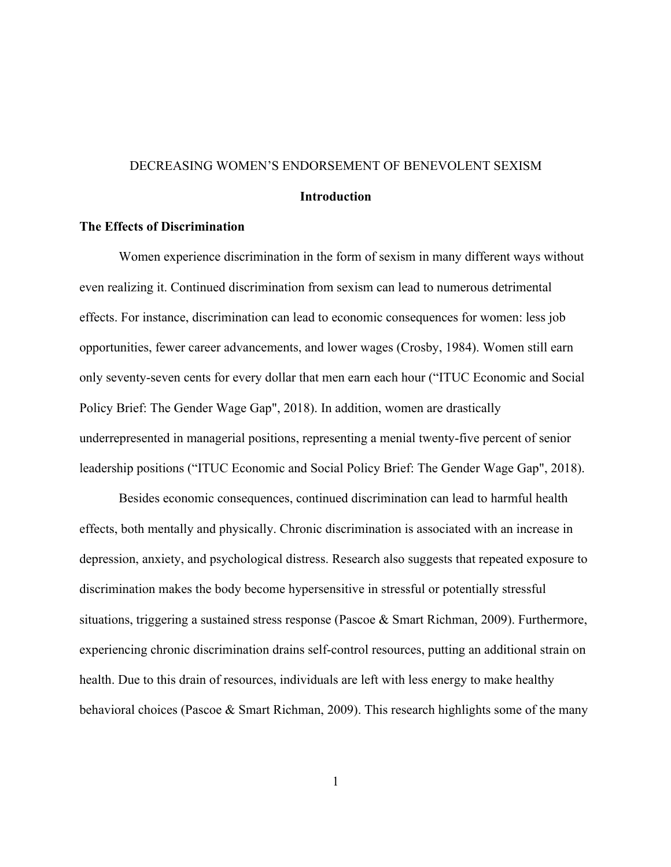#### DECREASING WOMEN'S ENDORSEMENT OF BENEVOLENT SEXISM

#### **Introduction**

#### **The Effects of Discrimination**

Women experience discrimination in the form of sexism in many different ways without even realizing it. Continued discrimination from sexism can lead to numerous detrimental effects. For instance, discrimination can lead to economic consequences for women: less job opportunities, fewer career advancements, and lower wages (Crosby, 1984). Women still earn only seventy-seven cents for every dollar that men earn each hour ("ITUC Economic and Social Policy Brief: The Gender Wage Gap", 2018). In addition, women are drastically underrepresented in managerial positions, representing a menial twenty-five percent of senior leadership positions ("ITUC Economic and Social Policy Brief: The Gender Wage Gap", 2018).

Besides economic consequences, continued discrimination can lead to harmful health effects, both mentally and physically. Chronic discrimination is associated with an increase in depression, anxiety, and psychological distress. Research also suggests that repeated exposure to discrimination makes the body become hypersensitive in stressful or potentially stressful situations, triggering a sustained stress response (Pascoe & Smart Richman, 2009). Furthermore, experiencing chronic discrimination drains self-control resources, putting an additional strain on health. Due to this drain of resources, individuals are left with less energy to make healthy behavioral choices (Pascoe & Smart Richman, 2009). This research highlights some of the many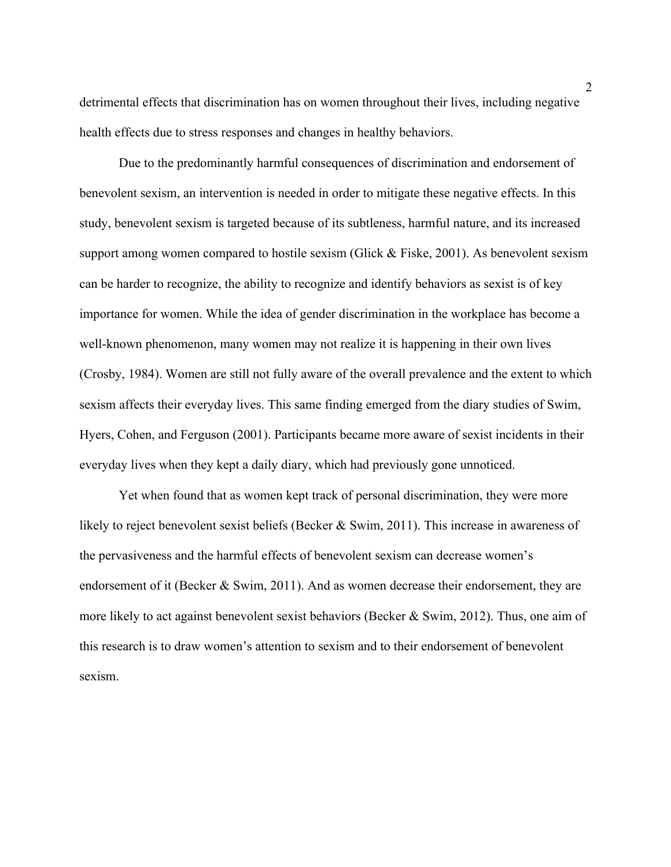detrimental effects that discrimination has on women throughout their lives, including negative health effects due to stress responses and changes in healthy behaviors.

Due to the predominantly harmful consequences of discrimination and endorsement of benevolent sexism, an intervention is needed in order to mitigate these negative effects. In this study, benevolent sexism is targeted because of its subtleness, harmful nature, and its increased support among women compared to hostile sexism (Glick & Fiske, 2001). As benevolent sexism can be harder to recognize, the ability to recognize and identify behaviors as sexist is of key importance for women. While the idea of gender discrimination in the workplace has become a well-known phenomenon, many women may not realize it is happening in their own lives (Crosby, 1984). Women are still not fully aware of the overall prevalence and the extent to which sexism affects their everyday lives. This same finding emerged from the diary studies of Swim, Hyers, Cohen, and Ferguson (2001). Participants became more aware of sexist incidents in their everyday lives when they kept a daily diary, which had previously gone unnoticed.

Yet when found that as women kept track of personal discrimination, they were more likely to reject benevolent sexist beliefs (Becker & Swim, 2011). This increase in awareness of the pervasiveness and the harmful effects of benevolent sexism can decrease women's endorsement of it (Becker & Swim, 2011). And as women decrease their endorsement, they are more likely to act against benevolent sexist behaviors (Becker & Swim, 2012). Thus, one aim of this research is to draw women's attention to sexism and to their endorsement of benevolent sexism.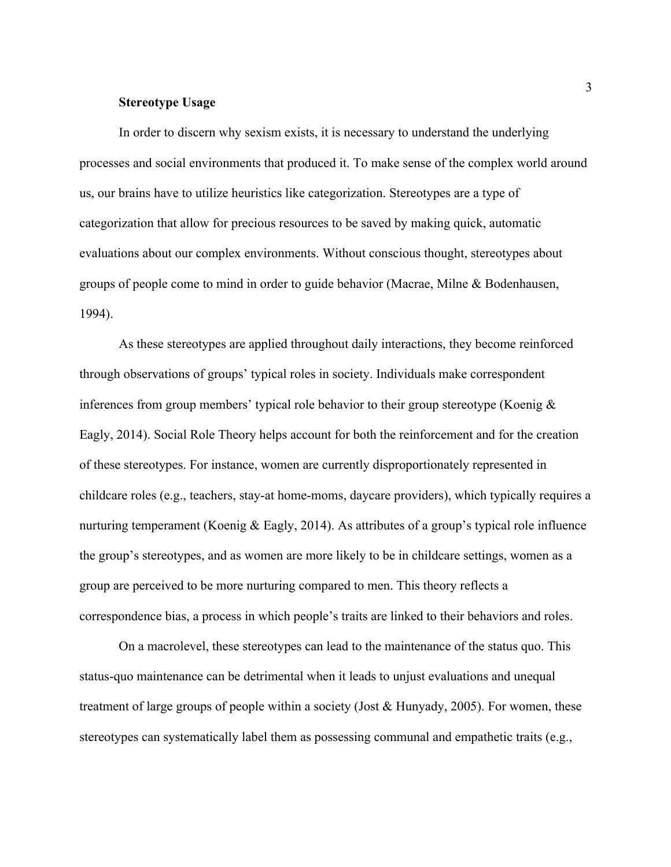#### **Stereotype Usage**

In order to discern why sexism exists, it is necessary to understand the underlying processes and social environments that produced it. To make sense of the complex world around us, our brains have to utilize heuristics like categorization. Stereotypes are a type of categorization that allow for precious resources to be saved by making quick, automatic evaluations about our complex environments. Without conscious thought, stereotypes about groups of people come to mind in order to guide behavior (Macrae, Milne & Bodenhausen, 1994).

As these stereotypes are applied throughout daily interactions, they become reinforced through observations of groups' typical roles in society. Individuals make correspondent inferences from group members' typical role behavior to their group stereotype (Koenig  $\&$ Eagly, 2014). Social Role Theory helps account for both the reinforcement and for the creation of these stereotypes. For instance, women are currently disproportionately represented in childcare roles (e.g., teachers, stay-at home-moms, daycare providers), which typically requires a nurturing temperament (Koenig & Eagly, 2014). As attributes of a group's typical role influence the group's stereotypes, and as women are more likely to be in childcare settings, women as a group are perceived to be more nurturing compared to men. This theory reflects a correspondence bias, a process in which people's traits are linked to their behaviors and roles.

On a macrolevel, these stereotypes can lead to the maintenance of the status quo. This status-quo maintenance can be detrimental when it leads to unjust evaluations and unequal treatment of large groups of people within a society (Jost & Hunyady, 2005). For women, these stereotypes can systematically label them as possessing communal and empathetic traits (e.g.,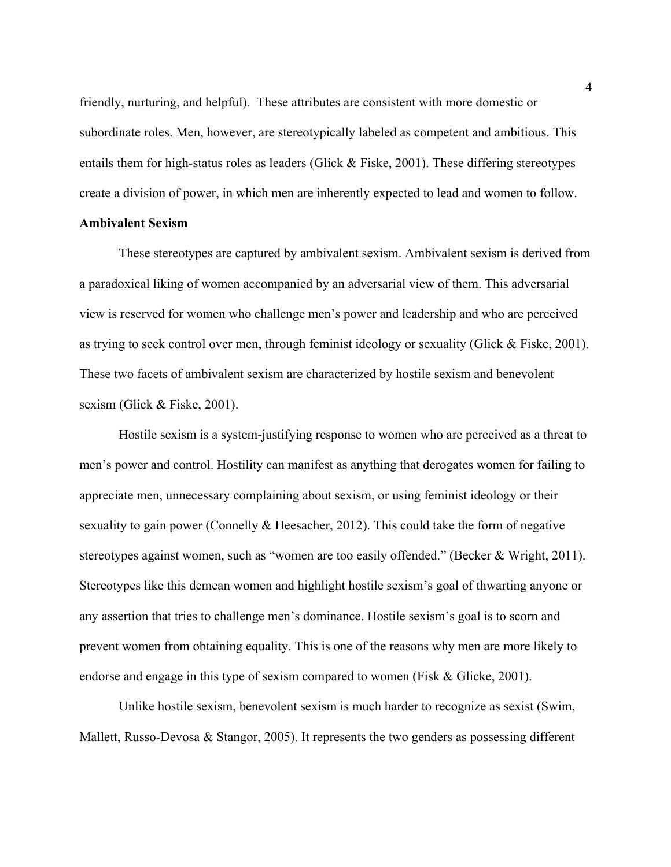friendly, nurturing, and helpful). These attributes are consistent with more domestic or subordinate roles. Men, however, are stereotypically labeled as competent and ambitious. This entails them for high-status roles as leaders (Glick & Fiske, 2001). These differing stereotypes create a division of power, in which men are inherently expected to lead and women to follow.

### **Ambivalent Sexism**

These stereotypes are captured by ambivalent sexism. Ambivalent sexism is derived from a paradoxical liking of women accompanied by an adversarial view of them. This adversarial view is reserved for women who challenge men's power and leadership and who are perceived as trying to seek control over men, through feminist ideology or sexuality (Glick & Fiske, 2001). These two facets of ambivalent sexism are characterized by hostile sexism and benevolent sexism (Glick & Fiske, 2001).

Hostile sexism is a system-justifying response to women who are perceived as a threat to men's power and control. Hostility can manifest as anything that derogates women for failing to appreciate men, unnecessary complaining about sexism, or using feminist ideology or their sexuality to gain power (Connelly & Heesacher, 2012). This could take the form of negative stereotypes against women, such as "women are too easily offended." (Becker & Wright, 2011). Stereotypes like this demean women and highlight hostile sexism's goal of thwarting anyone or any assertion that tries to challenge men's dominance. Hostile sexism's goal is to scorn and prevent women from obtaining equality. This is one of the reasons why men are more likely to endorse and engage in this type of sexism compared to women (Fisk & Glicke, 2001).

Unlike hostile sexism, benevolent sexism is much harder to recognize as sexist (Swim, Mallett, Russo-Devosa & Stangor, 2005). It represents the two genders as possessing different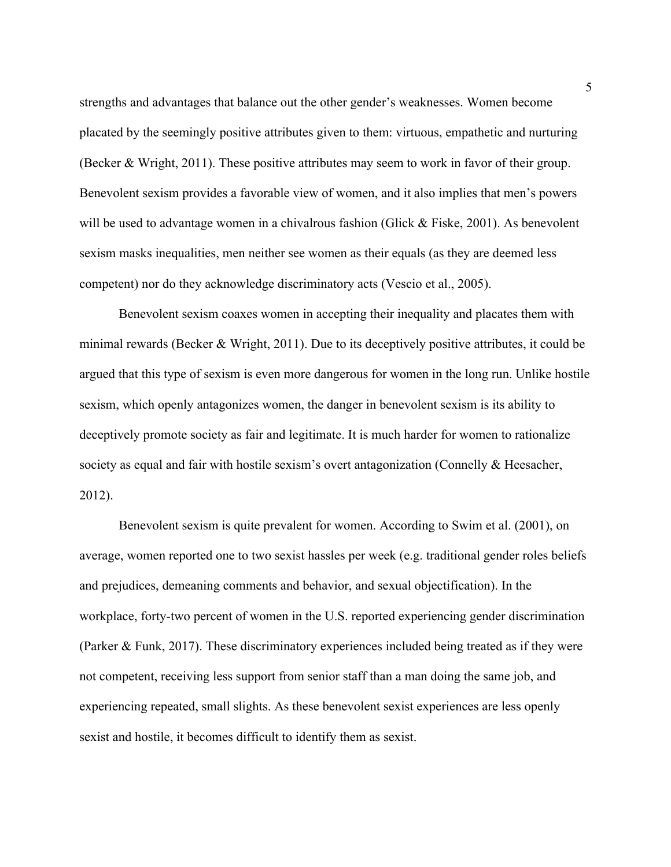strengths and advantages that balance out the other gender's weaknesses. Women become placated by the seemingly positive attributes given to them: virtuous, empathetic and nurturing (Becker & Wright, 2011). These positive attributes may seem to work in favor of their group. Benevolent sexism provides a favorable view of women, and it also implies that men's powers will be used to advantage women in a chivalrous fashion (Glick & Fiske, 2001). As benevolent sexism masks inequalities, men neither see women as their equals (as they are deemed less competent) nor do they acknowledge discriminatory acts (Vescio et al., 2005).

Benevolent sexism coaxes women in accepting their inequality and placates them with minimal rewards (Becker & Wright, 2011). Due to its deceptively positive attributes, it could be argued that this type of sexism is even more dangerous for women in the long run. Unlike hostile sexism, which openly antagonizes women, the danger in benevolent sexism is its ability to deceptively promote society as fair and legitimate. It is much harder for women to rationalize society as equal and fair with hostile sexism's overt antagonization (Connelly & Heesacher, 2012).

Benevolent sexism is quite prevalent for women. According to Swim et al. (2001), on average, women reported one to two sexist hassles per week (e.g. traditional gender roles beliefs and prejudices, demeaning comments and behavior, and sexual objectification). In the workplace, forty-two percent of women in the U.S. reported experiencing gender discrimination (Parker & Funk, 2017). These discriminatory experiences included being treated as if they were not competent, receiving less support from senior staff than a man doing the same job, and experiencing repeated, small slights. As these benevolent sexist experiences are less openly sexist and hostile, it becomes difficult to identify them as sexist.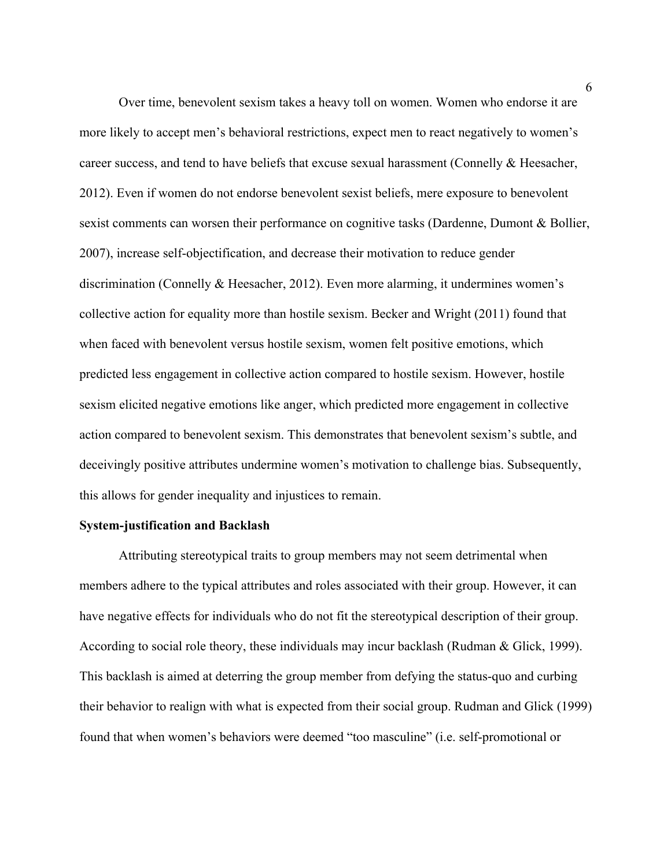Over time, benevolent sexism takes a heavy toll on women. Women who endorse it are more likely to accept men's behavioral restrictions, expect men to react negatively to women's career success, and tend to have beliefs that excuse sexual harassment (Connelly & Heesacher, 2012). Even if women do not endorse benevolent sexist beliefs, mere exposure to benevolent sexist comments can worsen their performance on cognitive tasks (Dardenne, Dumont & Bollier, 2007), increase self-objectification, and decrease their motivation to reduce gender discrimination (Connelly & Heesacher, 2012). Even more alarming, it undermines women's collective action for equality more than hostile sexism. Becker and Wright (2011) found that when faced with benevolent versus hostile sexism, women felt positive emotions, which predicted less engagement in collective action compared to hostile sexism. However, hostile sexism elicited negative emotions like anger, which predicted more engagement in collective action compared to benevolent sexism. This demonstrates that benevolent sexism's subtle, and deceivingly positive attributes undermine women's motivation to challenge bias. Subsequently, this allows for gender inequality and injustices to remain.

#### **System-justification and Backlash**

Attributing stereotypical traits to group members may not seem detrimental when members adhere to the typical attributes and roles associated with their group. However, it can have negative effects for individuals who do not fit the stereotypical description of their group. According to social role theory, these individuals may incur backlash (Rudman & Glick, 1999). This backlash is aimed at deterring the group member from defying the status-quo and curbing their behavior to realign with what is expected from their social group. Rudman and Glick (1999) found that when women's behaviors were deemed "too masculine" (i.e. self-promotional or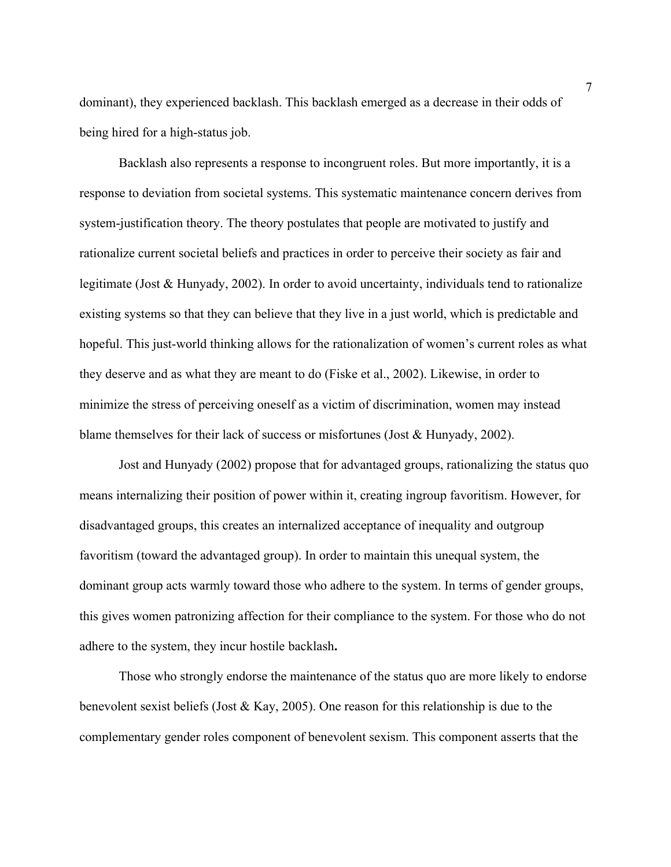dominant), they experienced backlash. This backlash emerged as a decrease in their odds of being hired for a high-status job.

Backlash also represents a response to incongruent roles. But more importantly, it is a response to deviation from societal systems. This systematic maintenance concern derives from system-justification theory. The theory postulates that people are motivated to justify and rationalize current societal beliefs and practices in order to perceive their society as fair and legitimate (Jost & Hunyady, 2002). In order to avoid uncertainty, individuals tend to rationalize existing systems so that they can believe that they live in a just world, which is predictable and hopeful. This just-world thinking allows for the rationalization of women's current roles as what they deserve and as what they are meant to do (Fiske et al., 2002). Likewise, in order to minimize the stress of perceiving oneself as a victim of discrimination, women may instead blame themselves for their lack of success or misfortunes (Jost & Hunyady, 2002).

Jost and Hunyady (2002) propose that for advantaged groups, rationalizing the status quo means internalizing their position of power within it, creating ingroup favoritism. However, for disadvantaged groups, this creates an internalized acceptance of inequality and outgroup favoritism (toward the advantaged group). In order to maintain this unequal system, the dominant group acts warmly toward those who adhere to the system. In terms of gender groups, this gives women patronizing affection for their compliance to the system. For those who do not adhere to the system, they incur hostile backlash**.** 

Those who strongly endorse the maintenance of the status quo are more likely to endorse benevolent sexist beliefs (Jost & Kay, 2005). One reason for this relationship is due to the complementary gender roles component of benevolent sexism. This component asserts that the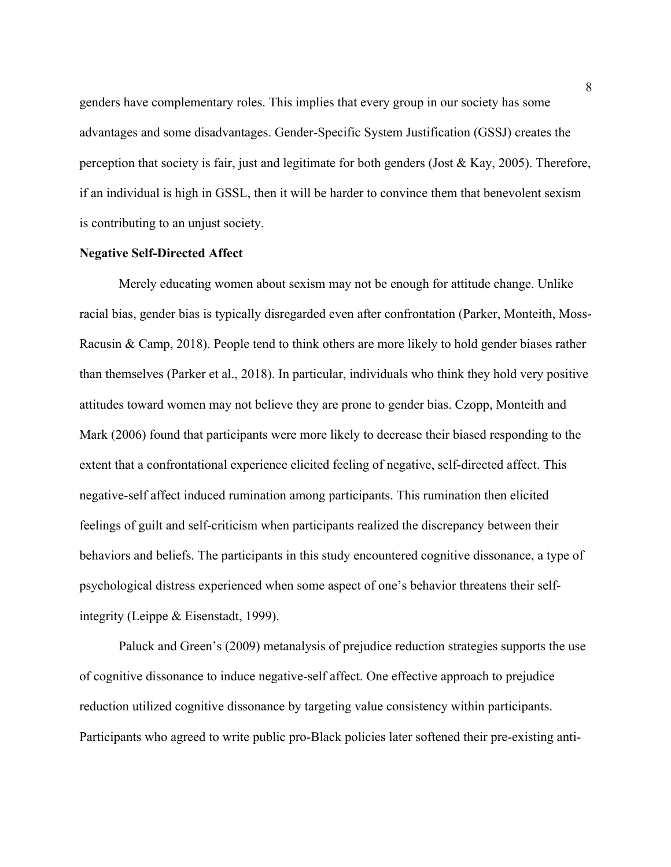genders have complementary roles. This implies that every group in our society has some advantages and some disadvantages. Gender-Specific System Justification (GSSJ) creates the perception that society is fair, just and legitimate for both genders (Jost & Kay, 2005). Therefore, if an individual is high in GSSL, then it will be harder to convince them that benevolent sexism is contributing to an unjust society.

#### **Negative Self-Directed Affect**

Merely educating women about sexism may not be enough for attitude change. Unlike racial bias, gender bias is typically disregarded even after confrontation (Parker, Monteith, Moss-Racusin & Camp, 2018). People tend to think others are more likely to hold gender biases rather than themselves (Parker et al., 2018). In particular, individuals who think they hold very positive attitudes toward women may not believe they are prone to gender bias. Czopp, Monteith and Mark (2006) found that participants were more likely to decrease their biased responding to the extent that a confrontational experience elicited feeling of negative, self-directed affect. This negative-self affect induced rumination among participants. This rumination then elicited feelings of guilt and self-criticism when participants realized the discrepancy between their behaviors and beliefs. The participants in this study encountered cognitive dissonance, a type of psychological distress experienced when some aspect of one's behavior threatens their selfintegrity (Leippe & Eisenstadt, 1999).

Paluck and Green's (2009) metanalysis of prejudice reduction strategies supports the use of cognitive dissonance to induce negative-self affect. One effective approach to prejudice reduction utilized cognitive dissonance by targeting value consistency within participants. Participants who agreed to write public pro-Black policies later softened their pre-existing anti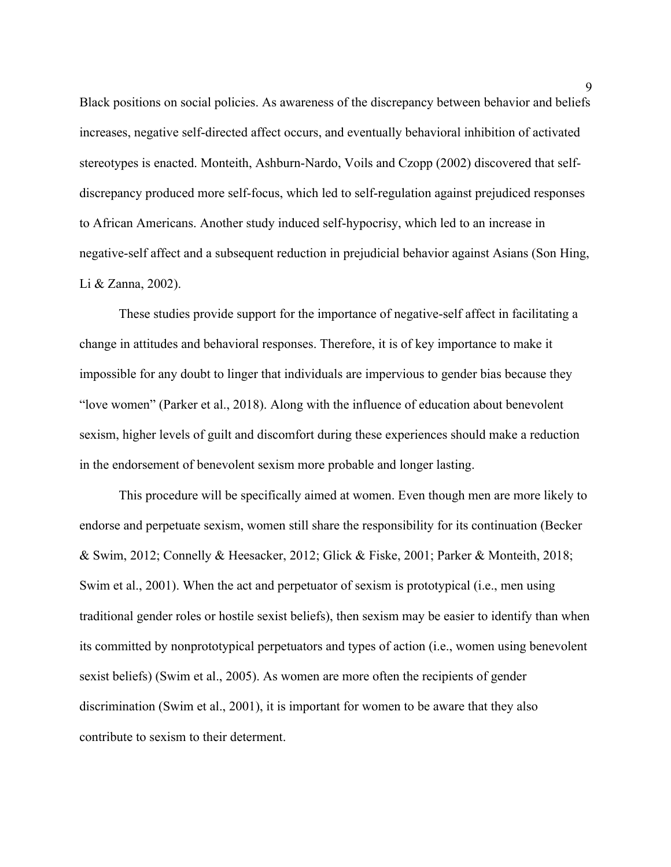Black positions on social policies. As awareness of the discrepancy between behavior and beliefs increases, negative self-directed affect occurs, and eventually behavioral inhibition of activated stereotypes is enacted. Monteith, Ashburn-Nardo, Voils and Czopp (2002) discovered that selfdiscrepancy produced more self-focus, which led to self-regulation against prejudiced responses to African Americans. Another study induced self-hypocrisy, which led to an increase in negative-self affect and a subsequent reduction in prejudicial behavior against Asians (Son Hing, Li & Zanna, 2002).

These studies provide support for the importance of negative-self affect in facilitating a change in attitudes and behavioral responses. Therefore, it is of key importance to make it impossible for any doubt to linger that individuals are impervious to gender bias because they "love women" (Parker et al., 2018). Along with the influence of education about benevolent sexism, higher levels of guilt and discomfort during these experiences should make a reduction in the endorsement of benevolent sexism more probable and longer lasting.

This procedure will be specifically aimed at women. Even though men are more likely to endorse and perpetuate sexism, women still share the responsibility for its continuation (Becker & Swim, 2012; Connelly & Heesacker, 2012; Glick & Fiske, 2001; Parker & Monteith, 2018; Swim et al., 2001). When the act and perpetuator of sexism is prototypical (i.e., men using traditional gender roles or hostile sexist beliefs), then sexism may be easier to identify than when its committed by nonprototypical perpetuators and types of action (i.e., women using benevolent sexist beliefs) (Swim et al., 2005). As women are more often the recipients of gender discrimination (Swim et al., 2001), it is important for women to be aware that they also contribute to sexism to their determent.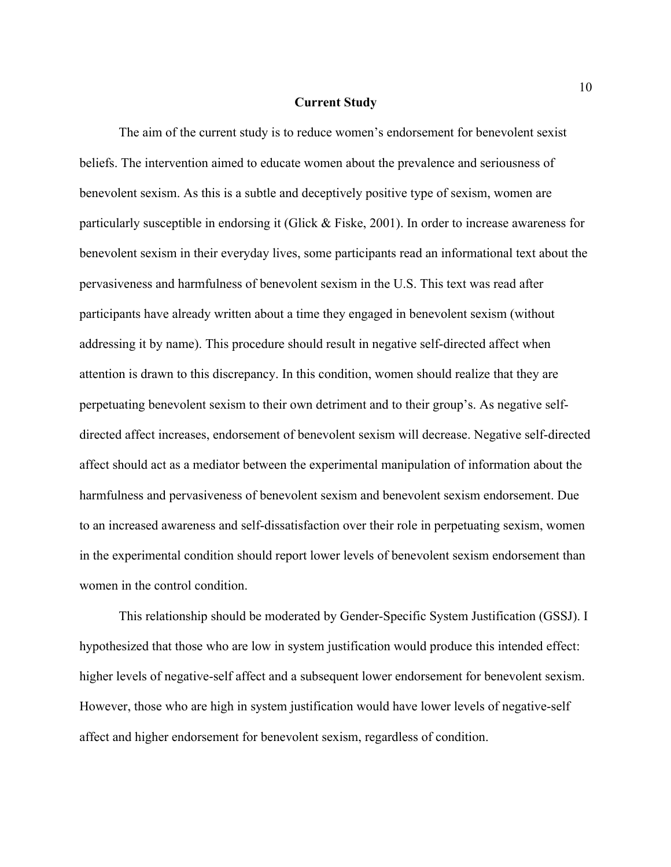#### **Current Study**

The aim of the current study is to reduce women's endorsement for benevolent sexist beliefs. The intervention aimed to educate women about the prevalence and seriousness of benevolent sexism. As this is a subtle and deceptively positive type of sexism, women are particularly susceptible in endorsing it (Glick & Fiske, 2001). In order to increase awareness for benevolent sexism in their everyday lives, some participants read an informational text about the pervasiveness and harmfulness of benevolent sexism in the U.S. This text was read after participants have already written about a time they engaged in benevolent sexism (without addressing it by name). This procedure should result in negative self-directed affect when attention is drawn to this discrepancy. In this condition, women should realize that they are perpetuating benevolent sexism to their own detriment and to their group's. As negative selfdirected affect increases, endorsement of benevolent sexism will decrease. Negative self-directed affect should act as a mediator between the experimental manipulation of information about the harmfulness and pervasiveness of benevolent sexism and benevolent sexism endorsement. Due to an increased awareness and self-dissatisfaction over their role in perpetuating sexism, women in the experimental condition should report lower levels of benevolent sexism endorsement than women in the control condition.

This relationship should be moderated by Gender-Specific System Justification (GSSJ). I hypothesized that those who are low in system justification would produce this intended effect: higher levels of negative-self affect and a subsequent lower endorsement for benevolent sexism. However, those who are high in system justification would have lower levels of negative-self affect and higher endorsement for benevolent sexism, regardless of condition.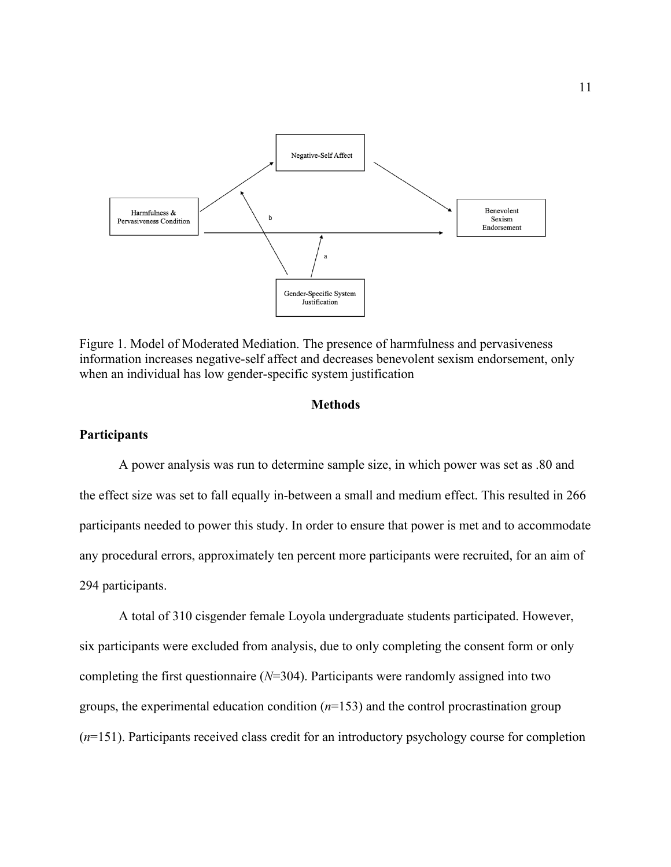

Figure 1. Model of Moderated Mediation. The presence of harmfulness and pervasiveness information increases negative-self affect and decreases benevolent sexism endorsement, only when an individual has low gender-specific system justification

#### **Methods**

### **Participants**

A power analysis was run to determine sample size, in which power was set as .80 and the effect size was set to fall equally in-between a small and medium effect. This resulted in 266 participants needed to power this study. In order to ensure that power is met and to accommodate any procedural errors, approximately ten percent more participants were recruited, for an aim of 294 participants.

A total of 310 cisgender female Loyola undergraduate students participated. However, six participants were excluded from analysis, due to only completing the consent form or only completing the first questionnaire (*N*=304). Participants were randomly assigned into two groups, the experimental education condition (*n*=153) and the control procrastination group (*n*=151). Participants received class credit for an introductory psychology course for completion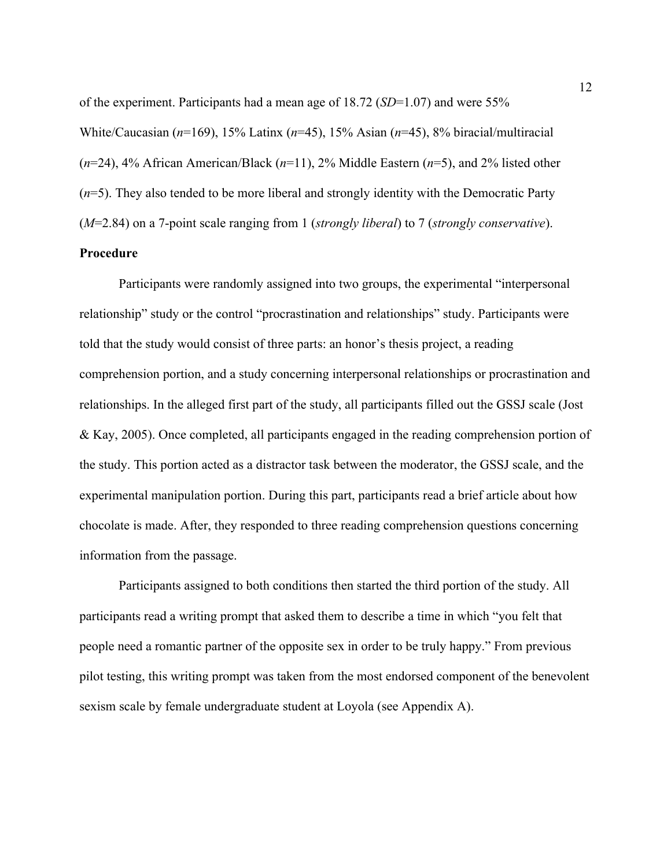of the experiment. Participants had a mean age of 18.72 (*SD*=1.07) and were 55% White/Caucasian (*n*=169), 15% Latinx (*n*=45), 15% Asian (*n*=45), 8% biracial/multiracial (*n*=24), 4% African American/Black (*n*=11), 2% Middle Eastern (*n*=5), and 2% listed other (*n*=5). They also tended to be more liberal and strongly identity with the Democratic Party (*M*=2.84) on a 7-point scale ranging from 1 (*strongly liberal*) to 7 (*strongly conservative*).

# **Procedure**

Participants were randomly assigned into two groups, the experimental "interpersonal relationship" study or the control "procrastination and relationships" study. Participants were told that the study would consist of three parts: an honor's thesis project, a reading comprehension portion, and a study concerning interpersonal relationships or procrastination and relationships. In the alleged first part of the study, all participants filled out the GSSJ scale (Jost & Kay, 2005). Once completed, all participants engaged in the reading comprehension portion of the study. This portion acted as a distractor task between the moderator, the GSSJ scale, and the experimental manipulation portion. During this part, participants read a brief article about how chocolate is made. After, they responded to three reading comprehension questions concerning information from the passage.

Participants assigned to both conditions then started the third portion of the study. All participants read a writing prompt that asked them to describe a time in which "you felt that people need a romantic partner of the opposite sex in order to be truly happy." From previous pilot testing, this writing prompt was taken from the most endorsed component of the benevolent sexism scale by female undergraduate student at Loyola (see Appendix A).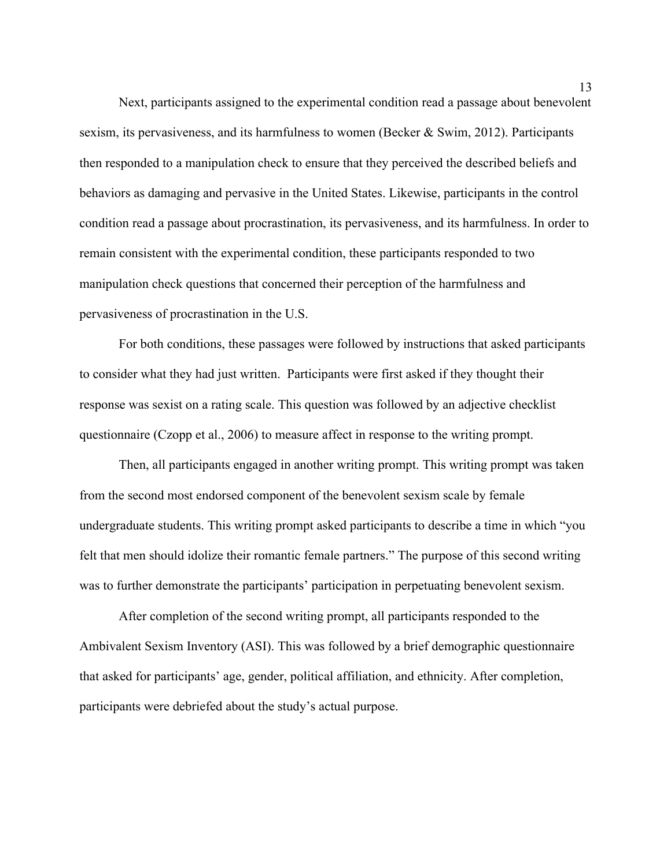Next, participants assigned to the experimental condition read a passage about benevolent sexism, its pervasiveness, and its harmfulness to women (Becker & Swim, 2012). Participants then responded to a manipulation check to ensure that they perceived the described beliefs and behaviors as damaging and pervasive in the United States. Likewise, participants in the control condition read a passage about procrastination, its pervasiveness, and its harmfulness. In order to remain consistent with the experimental condition, these participants responded to two manipulation check questions that concerned their perception of the harmfulness and pervasiveness of procrastination in the U.S.

For both conditions, these passages were followed by instructions that asked participants to consider what they had just written. Participants were first asked if they thought their response was sexist on a rating scale. This question was followed by an adjective checklist questionnaire (Czopp et al., 2006) to measure affect in response to the writing prompt.

Then, all participants engaged in another writing prompt. This writing prompt was taken from the second most endorsed component of the benevolent sexism scale by female undergraduate students. This writing prompt asked participants to describe a time in which "you felt that men should idolize their romantic female partners." The purpose of this second writing was to further demonstrate the participants' participation in perpetuating benevolent sexism.

After completion of the second writing prompt, all participants responded to the Ambivalent Sexism Inventory (ASI). This was followed by a brief demographic questionnaire that asked for participants' age, gender, political affiliation, and ethnicity. After completion, participants were debriefed about the study's actual purpose.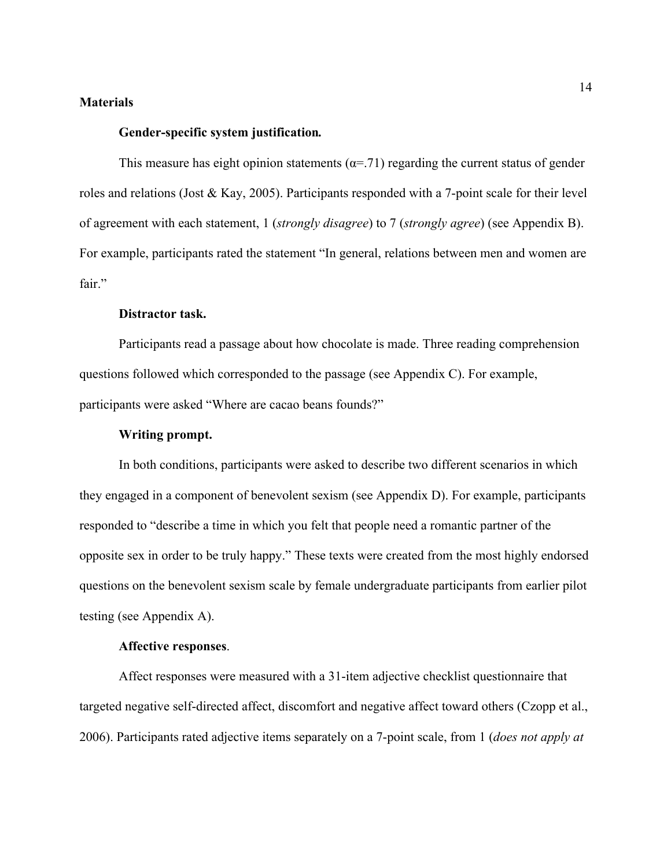### **Materials**

#### **Gender-specific system justification***.*

This measure has eight opinion statements ( $\alpha$ =.71) regarding the current status of gender roles and relations (Jost & Kay, 2005). Participants responded with a 7-point scale for their level of agreement with each statement, 1 (*strongly disagree*) to 7 (*strongly agree*) (see Appendix B). For example, participants rated the statement "In general, relations between men and women are fair."

#### **Distractor task.**

Participants read a passage about how chocolate is made. Three reading comprehension questions followed which corresponded to the passage (see Appendix C). For example, participants were asked "Where are cacao beans founds?"

#### **Writing prompt.**

In both conditions, participants were asked to describe two different scenarios in which they engaged in a component of benevolent sexism (see Appendix D). For example, participants responded to "describe a time in which you felt that people need a romantic partner of the opposite sex in order to be truly happy." These texts were created from the most highly endorsed questions on the benevolent sexism scale by female undergraduate participants from earlier pilot testing (see Appendix A).

#### **Affective responses**.

Affect responses were measured with a 31-item adjective checklist questionnaire that targeted negative self-directed affect, discomfort and negative affect toward others (Czopp et al., 2006). Participants rated adjective items separately on a 7-point scale, from 1 (*does not apply at*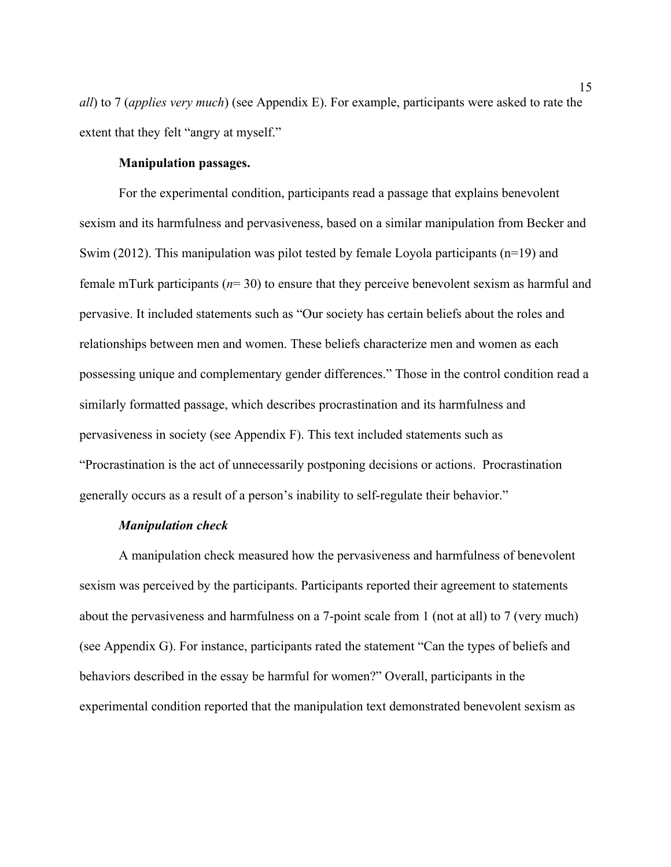*all*) to 7 (*applies very much*) (see Appendix E). For example, participants were asked to rate the extent that they felt "angry at myself."

### **Manipulation passages.**

For the experimental condition, participants read a passage that explains benevolent sexism and its harmfulness and pervasiveness, based on a similar manipulation from Becker and Swim (2012). This manipulation was pilot tested by female Loyola participants (n=19) and female mTurk participants (*n*= 30) to ensure that they perceive benevolent sexism as harmful and pervasive. It included statements such as "Our society has certain beliefs about the roles and relationships between men and women. These beliefs characterize men and women as each possessing unique and complementary gender differences." Those in the control condition read a similarly formatted passage, which describes procrastination and its harmfulness and pervasiveness in society (see Appendix F). This text included statements such as "Procrastination is the act of unnecessarily postponing decisions or actions. Procrastination generally occurs as a result of a person's inability to self-regulate their behavior."

#### *Manipulation check*

A manipulation check measured how the pervasiveness and harmfulness of benevolent sexism was perceived by the participants. Participants reported their agreement to statements about the pervasiveness and harmfulness on a 7-point scale from 1 (not at all) to 7 (very much) (see Appendix G). For instance, participants rated the statement "Can the types of beliefs and behaviors described in the essay be harmful for women?" Overall, participants in the experimental condition reported that the manipulation text demonstrated benevolent sexism as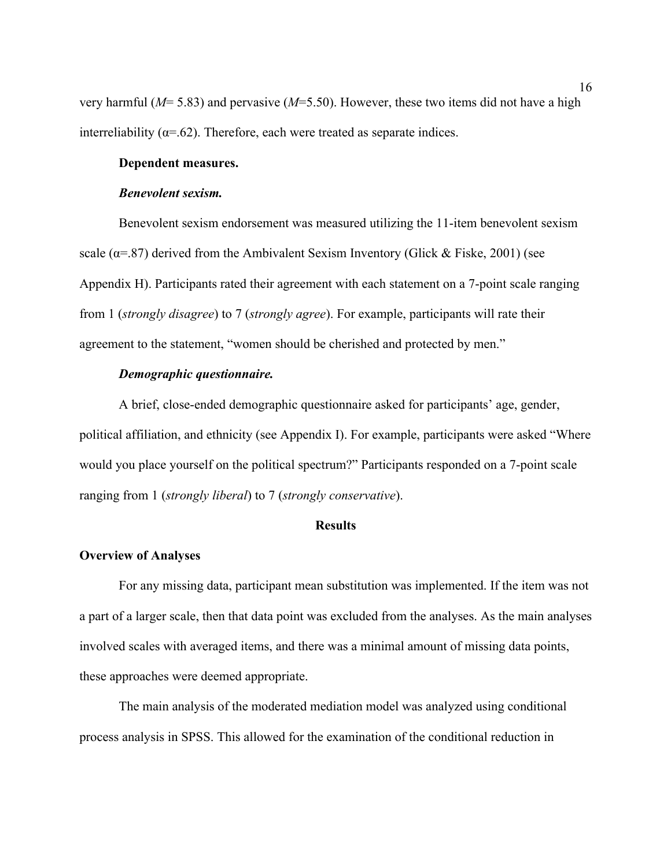very harmful (*M*= 5.83) and pervasive (*M*=5.50). However, these two items did not have a high interreliability ( $\alpha$ =.62). Therefore, each were treated as separate indices.

### **Dependent measures.**

#### *Benevolent sexism.*

Benevolent sexism endorsement was measured utilizing the 11-item benevolent sexism scale ( $\alpha$ =.87) derived from the Ambivalent Sexism Inventory (Glick & Fiske, 2001) (see Appendix H). Participants rated their agreement with each statement on a 7-point scale ranging from 1 (*strongly disagree*) to 7 (*strongly agree*). For example, participants will rate their agreement to the statement, "women should be cherished and protected by men."

#### *Demographic questionnaire.*

A brief, close-ended demographic questionnaire asked for participants' age, gender, political affiliation, and ethnicity (see Appendix I). For example, participants were asked "Where would you place yourself on the political spectrum?" Participants responded on a 7-point scale ranging from 1 (*strongly liberal*) to 7 (*strongly conservative*).

#### **Results**

#### **Overview of Analyses**

For any missing data, participant mean substitution was implemented. If the item was not a part of a larger scale, then that data point was excluded from the analyses. As the main analyses involved scales with averaged items, and there was a minimal amount of missing data points, these approaches were deemed appropriate.

The main analysis of the moderated mediation model was analyzed using conditional process analysis in SPSS. This allowed for the examination of the conditional reduction in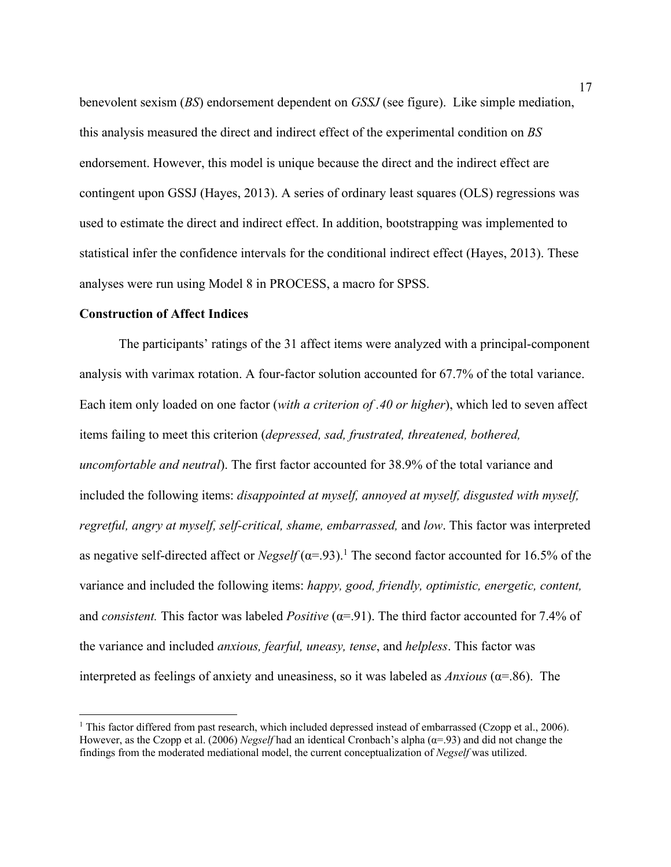benevolent sexism (*BS*) endorsement dependent on *GSSJ* (see figure). Like simple mediation, this analysis measured the direct and indirect effect of the experimental condition on *BS* endorsement. However, this model is unique because the direct and the indirect effect are contingent upon GSSJ (Hayes, 2013). A series of ordinary least squares (OLS) regressions was used to estimate the direct and indirect effect. In addition, bootstrapping was implemented to statistical infer the confidence intervals for the conditional indirect effect (Hayes, 2013). These analyses were run using Model 8 in PROCESS, a macro for SPSS.

#### **Construction of Affect Indices**

The participants' ratings of the 31 affect items were analyzed with a principal-component analysis with varimax rotation. A four-factor solution accounted for 67.7% of the total variance. Each item only loaded on one factor (*with a criterion of .40 or higher*), which led to seven affect items failing to meet this criterion (*depressed, sad, frustrated, threatened, bothered, uncomfortable and neutral*). The first factor accounted for 38.9% of the total variance and included the following items: *disappointed at myself, annoyed at myself, disgusted with myself, regretful, angry at myself, self-critical, shame, embarrassed,* and *low*. This factor was interpreted as negative self-directed affect or  $Negself$  ( $\alpha$ =.93).<sup>1</sup> The second factor accounted for 16.5% of the variance and included the following items: *happy, good, friendly, optimistic, energetic, content,*  and *consistent*. This factor was labeled *Positive* ( $\alpha$ =.91). The third factor accounted for 7.4% of the variance and included *anxious, fearful, uneasy, tense*, and *helpless*. This factor was interpreted as feelings of anxiety and uneasiness, so it was labeled as *Anxious* ( $\alpha$ =.86). The

<sup>&</sup>lt;sup>1</sup> This factor differed from past research, which included depressed instead of embarrassed (Czopp et al., 2006). However, as the Czopp et al. (2006) *Negself* had an identical Cronbach's alpha (α=.93) and did not change the findings from the moderated mediational model, the current conceptualization of *Negself* was utilized.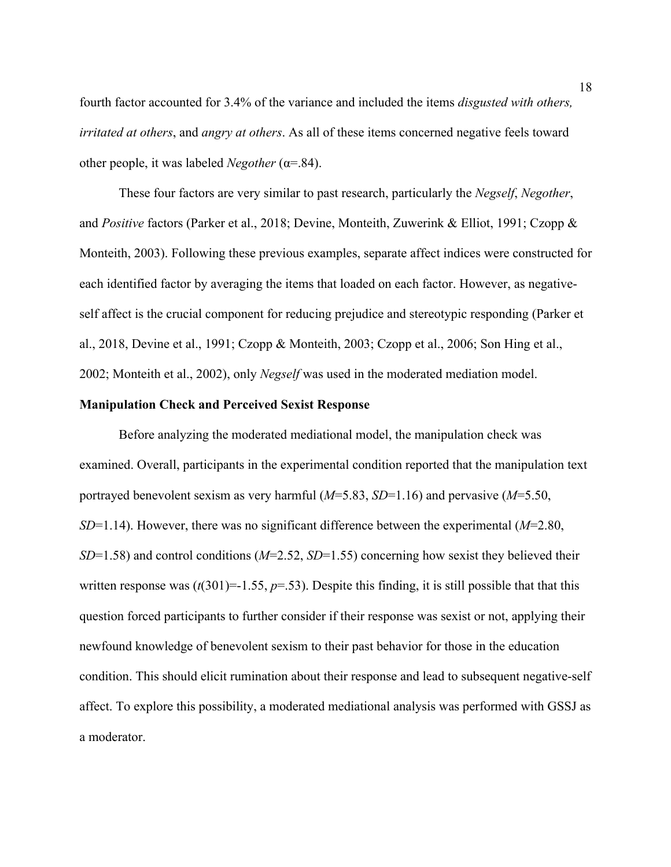fourth factor accounted for 3.4% of the variance and included the items *disgusted with others, irritated at others*, and *angry at others*. As all of these items concerned negative feels toward other people, it was labeled *Negother* (α=.84).

These four factors are very similar to past research, particularly the *Negself*, *Negother*, and *Positive* factors (Parker et al., 2018; Devine, Monteith, Zuwerink & Elliot, 1991; Czopp & Monteith, 2003). Following these previous examples, separate affect indices were constructed for each identified factor by averaging the items that loaded on each factor. However, as negativeself affect is the crucial component for reducing prejudice and stereotypic responding (Parker et al., 2018, Devine et al., 1991; Czopp & Monteith, 2003; Czopp et al., 2006; Son Hing et al., 2002; Monteith et al., 2002), only *Negself* was used in the moderated mediation model.

#### **Manipulation Check and Perceived Sexist Response**

Before analyzing the moderated mediational model, the manipulation check was examined. Overall, participants in the experimental condition reported that the manipulation text portrayed benevolent sexism as very harmful (*M*=5.83, *SD*=1.16) and pervasive (*M*=5.50, *SD*=1.14). However, there was no significant difference between the experimental (*M*=2.80, *SD*=1.58) and control conditions (*M*=2.52, *SD*=1.55) concerning how sexist they believed their written response was  $(t(301)=1.55, p=.53)$ . Despite this finding, it is still possible that that this question forced participants to further consider if their response was sexist or not, applying their newfound knowledge of benevolent sexism to their past behavior for those in the education condition. This should elicit rumination about their response and lead to subsequent negative-self affect. To explore this possibility, a moderated mediational analysis was performed with GSSJ as a moderator.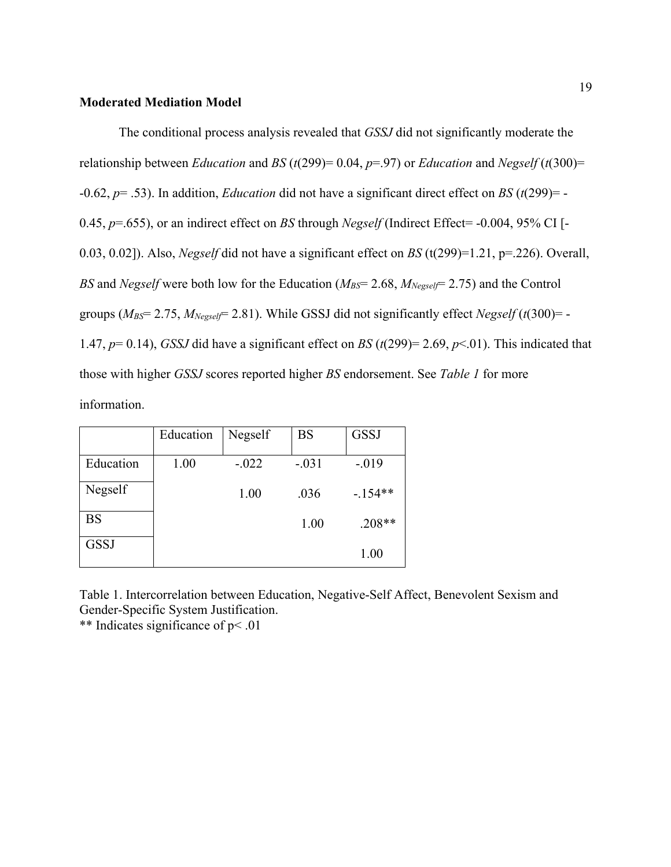### **Moderated Mediation Model**

The conditional process analysis revealed that *GSSJ* did not significantly moderate the relationship between *Education* and *BS* ( $t$ (299)= 0.04,  $p$ =.97) or *Education* and *Negself* ( $t$ (300)= -0.62, *p*= .53). In addition, *Education* did not have a significant direct effect on *BS* (*t*(299)= - 0.45, *p*=.655), or an indirect effect on *BS* through *Negself* (Indirect Effect= -0.004, 95% CI [- 0.03, 0.02]). Also, *Negself* did not have a significant effect on *BS* (t(299)=1.21, p=.226). Overall, *BS* and *Negself* were both low for the Education ( $M_{BS}$ = 2.68,  $M_{Negself}$ = 2.75) and the Control groups ( $M_{BS}$ = 2.75,  $M_{Negself}$ = 2.81). While GSSJ did not significantly effect *Negself* (*t*(300)= -1.47,  $p= 0.14$ ), *GSSJ* did have a significant effect on *BS* ( $t(299) = 2.69$ ,  $p<.01$ ). This indicated that those with higher *GSSJ* scores reported higher *BS* endorsement. See *Table 1* for more information.

|             | Education | Negself | <b>BS</b> | <b>GSSJ</b> |
|-------------|-----------|---------|-----------|-------------|
| Education   | 1.00      | $-.022$ | $-.031$   | $-.019$     |
| Negself     |           | 1.00    | .036      | $-154**$    |
| <b>BS</b>   |           |         | 1.00      | $.208**$    |
| <b>GSSJ</b> |           |         |           | 1.00        |

Table 1. Intercorrelation between Education, Negative-Self Affect, Benevolent Sexism and Gender-Specific System Justification.

\*\* Indicates significance of p< .01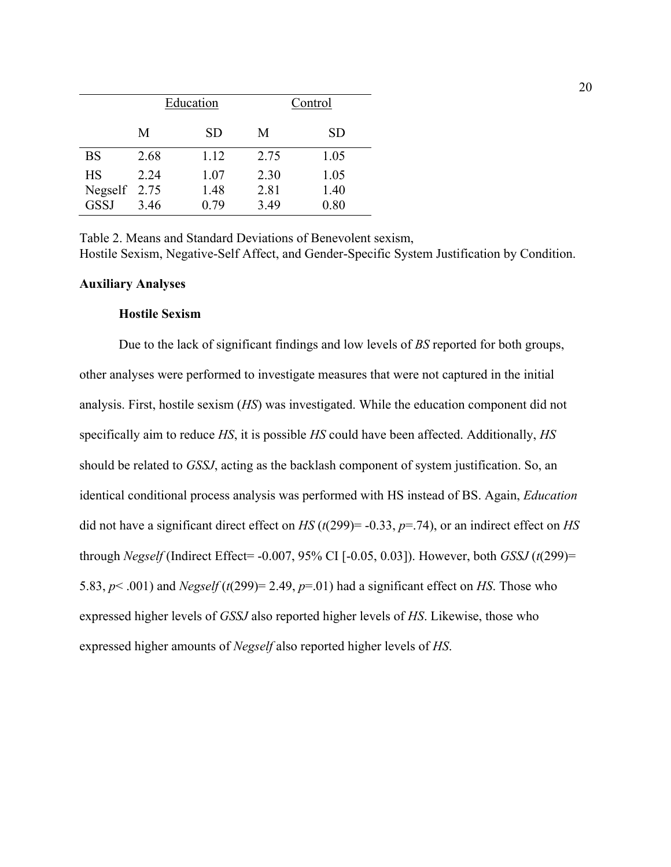|                                          |              | Education            |                      | Control              |
|------------------------------------------|--------------|----------------------|----------------------|----------------------|
|                                          | М            | <b>SD</b>            | M                    | <b>SD</b>            |
| <b>BS</b>                                | 2.68         | 1.12                 | 2.75                 | 1.05                 |
| <b>HS</b><br>Negself 2.75<br><b>GSSJ</b> | 2.24<br>3.46 | 1.07<br>1.48<br>0.79 | 2.30<br>2.81<br>3.49 | 1.05<br>1.40<br>0.80 |

Table 2. Means and Standard Deviations of Benevolent sexism, Hostile Sexism, Negative-Self Affect, and Gender-Specific System Justification by Condition.

#### **Auxiliary Analyses**

### **Hostile Sexism**

Due to the lack of significant findings and low levels of *BS* reported for both groups, other analyses were performed to investigate measures that were not captured in the initial analysis. First, hostile sexism (*HS*) was investigated. While the education component did not specifically aim to reduce *HS*, it is possible *HS* could have been affected. Additionally, *HS* should be related to *GSSJ*, acting as the backlash component of system justification. So, an identical conditional process analysis was performed with HS instead of BS. Again, *Education* did not have a significant direct effect on *HS* (*t*(299)= -0.33, *p*=.74), or an indirect effect on *HS* through *Negself* (Indirect Effect= -0.007, 95% CI [-0.05, 0.03]). However, both *GSSJ* (*t*(299)= 5.83, *p*< .001) and *Negself* (*t*(299)= 2.49, *p*=.01) had a significant effect on *HS*. Those who expressed higher levels of *GSSJ* also reported higher levels of *HS*. Likewise, those who expressed higher amounts of *Negself* also reported higher levels of *HS*.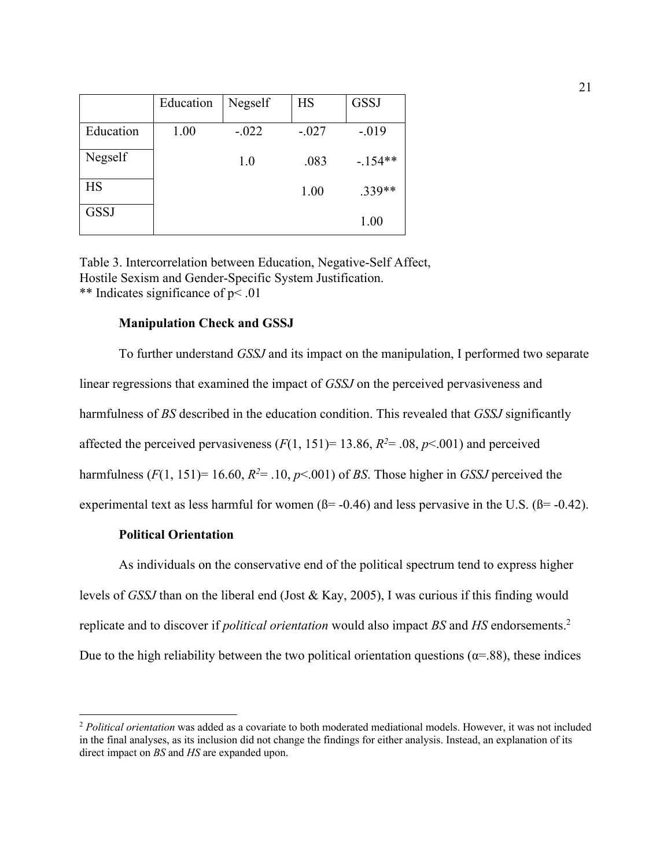|             | Education | Negself | <b>HS</b> | <b>GSSJ</b> |
|-------------|-----------|---------|-----------|-------------|
| Education   | 1.00      | $-.022$ | $-.027$   | $-0.019$    |
| Negself     |           | 1.0     | .083      | $-.154**$   |
| <b>HS</b>   |           |         | 1.00      | $.339**$    |
| <b>GSSJ</b> |           |         |           | 1.00        |

Table 3. Intercorrelation between Education, Negative-Self Affect, Hostile Sexism and Gender-Specific System Justification. \*\* Indicates significance of p< .01

#### **Manipulation Check and GSSJ**

To further understand *GSSJ* and its impact on the manipulation, I performed two separate linear regressions that examined the impact of *GSSJ* on the perceived pervasiveness and harmfulness of *BS* described in the education condition. This revealed that *GSSJ* significantly affected the perceived pervasiveness  $(F(1, 151)=13.86, R^2=.08, p<.001)$  and perceived harmfulness  $(F(1, 151)=16.60, R<sup>2</sup>=.10, p<.001)$  of *BS*. Those higher in *GSSJ* perceived the experimental text as less harmful for women  $(\beta = -0.46)$  and less pervasive in the U.S.  $(\beta = -0.42)$ .

#### **Political Orientation**

As individuals on the conservative end of the political spectrum tend to express higher levels of *GSSJ* than on the liberal end (Jost & Kay, 2005), I was curious if this finding would replicate and to discover if *political orientation* would also impact *BS* and *HS* endorsements. 2 Due to the high reliability between the two political orientation questions ( $\alpha$ =.88), these indices

<sup>2</sup> *Political orientation* was added as a covariate to both moderated mediational models. However, it was not included in the final analyses, as its inclusion did not change the findings for either analysis. Instead, an explanation of its direct impact on *BS* and *HS* are expanded upon.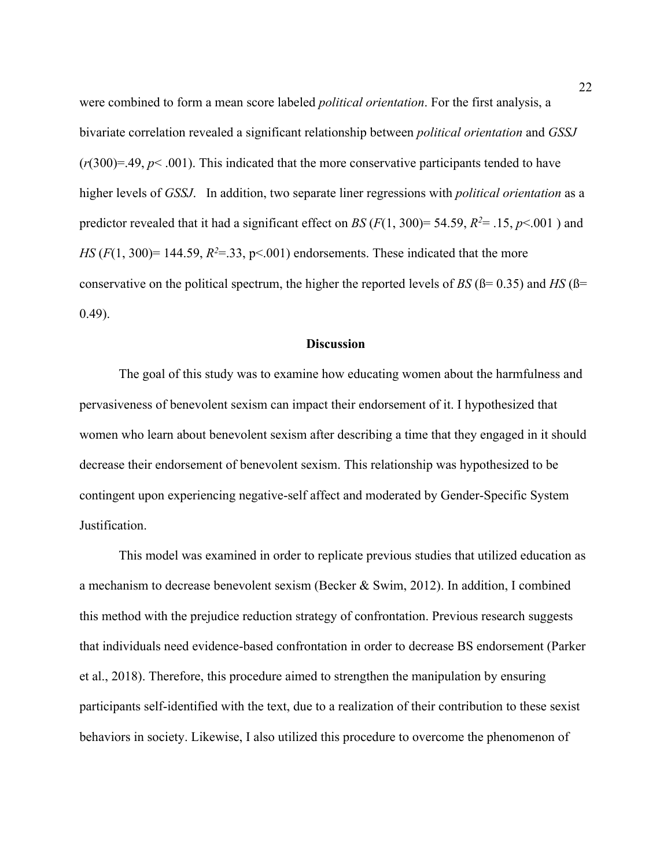were combined to form a mean score labeled *political orientation*. For the first analysis, a bivariate correlation revealed a significant relationship between *political orientation* and *GSSJ*  $(r(300)=.49, p<.001)$ . This indicated that the more conservative participants tended to have higher levels of *GSSJ*. In addition, two separate liner regressions with *political orientation* as a predictor revealed that it had a significant effect on *BS* ( $F(1, 300) = 54.59$ ,  $R^2 = .15$ ,  $p < .001$ ) and *HS* ( $F(1, 300) = 144.59$ ,  $R^2 = 33$ ,  $p < .001$ ) endorsements. These indicated that the more conservative on the political spectrum, the higher the reported levels of *BS* ( $\beta$ = 0.35) and *HS* ( $\beta$ = 0.49).

#### **Discussion**

The goal of this study was to examine how educating women about the harmfulness and pervasiveness of benevolent sexism can impact their endorsement of it. I hypothesized that women who learn about benevolent sexism after describing a time that they engaged in it should decrease their endorsement of benevolent sexism. This relationship was hypothesized to be contingent upon experiencing negative-self affect and moderated by Gender-Specific System Justification.

This model was examined in order to replicate previous studies that utilized education as a mechanism to decrease benevolent sexism (Becker & Swim, 2012). In addition, I combined this method with the prejudice reduction strategy of confrontation. Previous research suggests that individuals need evidence-based confrontation in order to decrease BS endorsement (Parker et al., 2018). Therefore, this procedure aimed to strengthen the manipulation by ensuring participants self-identified with the text, due to a realization of their contribution to these sexist behaviors in society. Likewise, I also utilized this procedure to overcome the phenomenon of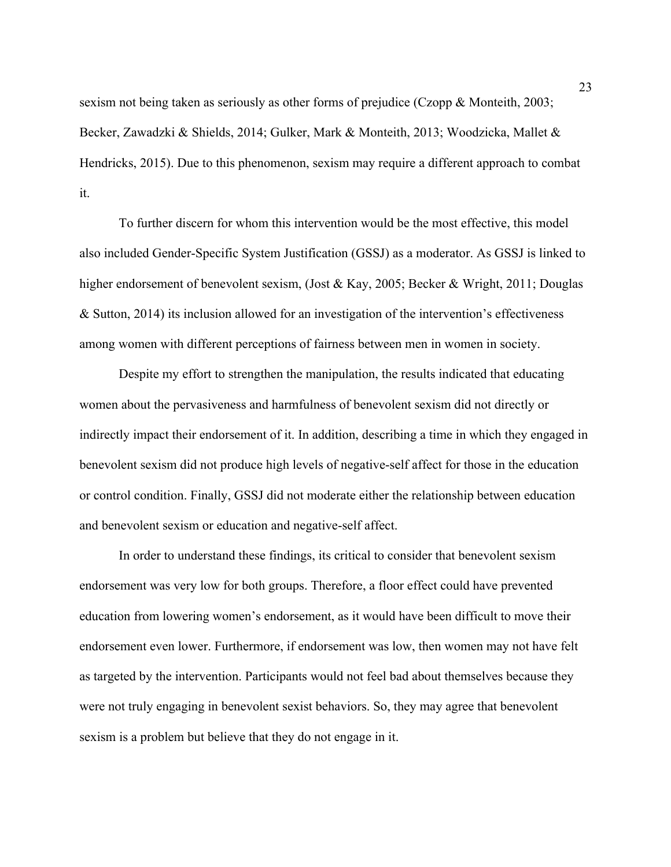sexism not being taken as seriously as other forms of prejudice (Czopp & Monteith, 2003; Becker, Zawadzki & Shields, 2014; Gulker, Mark & Monteith, 2013; Woodzicka, Mallet & Hendricks, 2015). Due to this phenomenon, sexism may require a different approach to combat it.

To further discern for whom this intervention would be the most effective, this model also included Gender-Specific System Justification (GSSJ) as a moderator. As GSSJ is linked to higher endorsement of benevolent sexism, (Jost & Kay, 2005; Becker & Wright, 2011; Douglas & Sutton, 2014) its inclusion allowed for an investigation of the intervention's effectiveness among women with different perceptions of fairness between men in women in society.

Despite my effort to strengthen the manipulation, the results indicated that educating women about the pervasiveness and harmfulness of benevolent sexism did not directly or indirectly impact their endorsement of it. In addition, describing a time in which they engaged in benevolent sexism did not produce high levels of negative-self affect for those in the education or control condition. Finally, GSSJ did not moderate either the relationship between education and benevolent sexism or education and negative-self affect.

In order to understand these findings, its critical to consider that benevolent sexism endorsement was very low for both groups. Therefore, a floor effect could have prevented education from lowering women's endorsement, as it would have been difficult to move their endorsement even lower. Furthermore, if endorsement was low, then women may not have felt as targeted by the intervention. Participants would not feel bad about themselves because they were not truly engaging in benevolent sexist behaviors. So, they may agree that benevolent sexism is a problem but believe that they do not engage in it.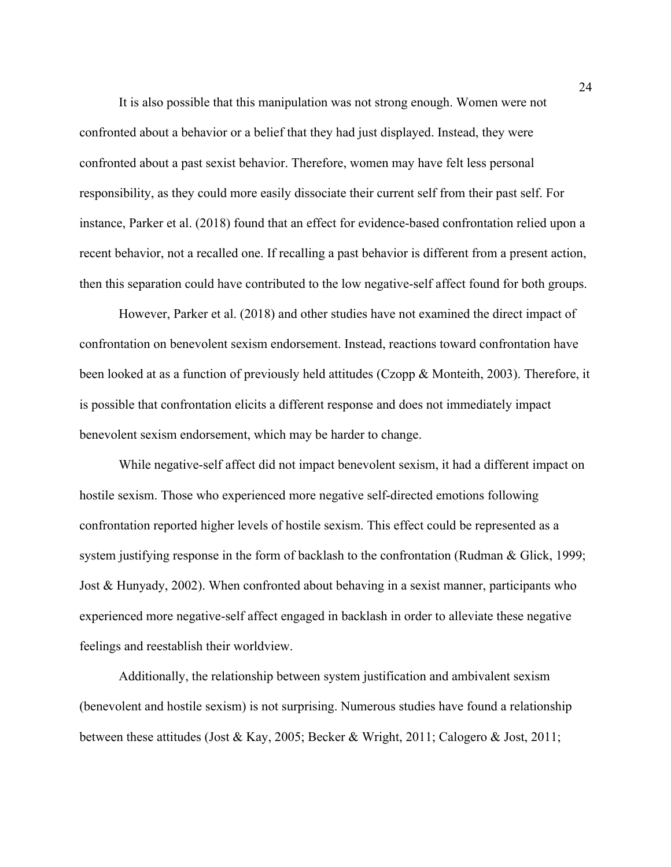It is also possible that this manipulation was not strong enough. Women were not confronted about a behavior or a belief that they had just displayed. Instead, they were confronted about a past sexist behavior. Therefore, women may have felt less personal responsibility, as they could more easily dissociate their current self from their past self. For instance, Parker et al. (2018) found that an effect for evidence-based confrontation relied upon a recent behavior, not a recalled one. If recalling a past behavior is different from a present action, then this separation could have contributed to the low negative-self affect found for both groups.

However, Parker et al. (2018) and other studies have not examined the direct impact of confrontation on benevolent sexism endorsement. Instead, reactions toward confrontation have been looked at as a function of previously held attitudes (Czopp & Monteith, 2003). Therefore, it is possible that confrontation elicits a different response and does not immediately impact benevolent sexism endorsement, which may be harder to change.

While negative-self affect did not impact benevolent sexism, it had a different impact on hostile sexism. Those who experienced more negative self-directed emotions following confrontation reported higher levels of hostile sexism. This effect could be represented as a system justifying response in the form of backlash to the confrontation (Rudman & Glick, 1999; Jost & Hunyady, 2002). When confronted about behaving in a sexist manner, participants who experienced more negative-self affect engaged in backlash in order to alleviate these negative feelings and reestablish their worldview.

Additionally, the relationship between system justification and ambivalent sexism (benevolent and hostile sexism) is not surprising. Numerous studies have found a relationship between these attitudes (Jost & Kay, 2005; Becker & Wright, 2011; Calogero & Jost, 2011;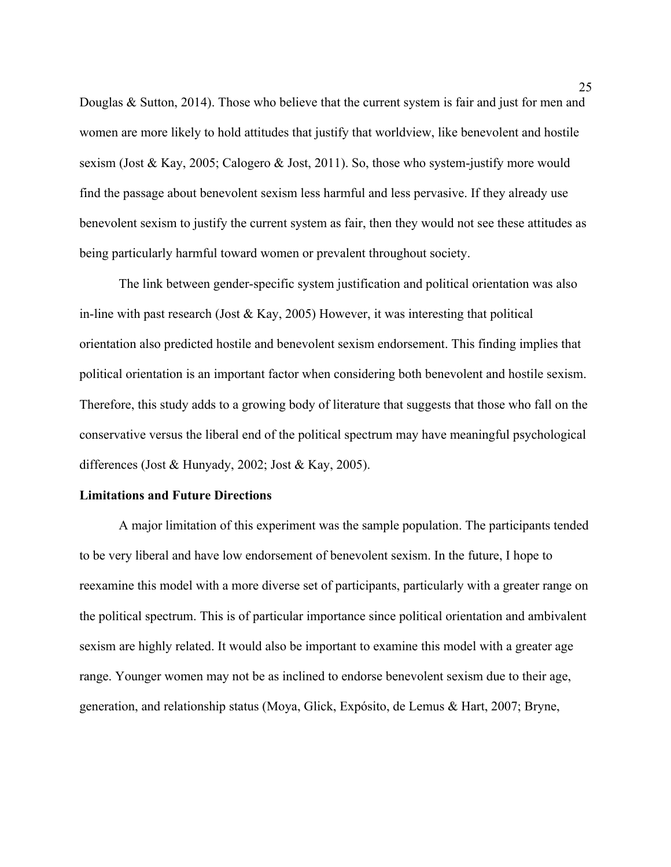Douglas & Sutton, 2014). Those who believe that the current system is fair and just for men and women are more likely to hold attitudes that justify that worldview, like benevolent and hostile sexism (Jost & Kay, 2005; Calogero & Jost, 2011). So, those who system-justify more would find the passage about benevolent sexism less harmful and less pervasive. If they already use benevolent sexism to justify the current system as fair, then they would not see these attitudes as being particularly harmful toward women or prevalent throughout society.

The link between gender-specific system justification and political orientation was also in-line with past research (Jost & Kay, 2005) However, it was interesting that political orientation also predicted hostile and benevolent sexism endorsement. This finding implies that political orientation is an important factor when considering both benevolent and hostile sexism. Therefore, this study adds to a growing body of literature that suggests that those who fall on the conservative versus the liberal end of the political spectrum may have meaningful psychological differences (Jost & Hunyady, 2002; Jost & Kay, 2005).

#### **Limitations and Future Directions**

A major limitation of this experiment was the sample population. The participants tended to be very liberal and have low endorsement of benevolent sexism. In the future, I hope to reexamine this model with a more diverse set of participants, particularly with a greater range on the political spectrum. This is of particular importance since political orientation and ambivalent sexism are highly related. It would also be important to examine this model with a greater age range. Younger women may not be as inclined to endorse benevolent sexism due to their age, generation, and relationship status (Moya, Glick, Expósito, de Lemus & Hart, 2007; Bryne,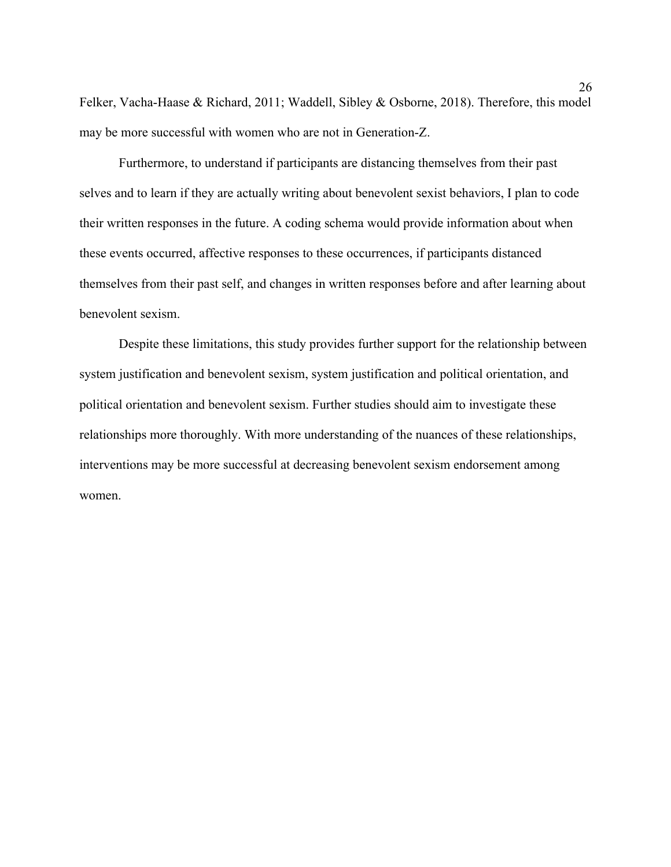Felker, Vacha-Haase & Richard, 2011; Waddell, Sibley & Osborne, 2018). Therefore, this model may be more successful with women who are not in Generation-Z.

Furthermore, to understand if participants are distancing themselves from their past selves and to learn if they are actually writing about benevolent sexist behaviors, I plan to code their written responses in the future. A coding schema would provide information about when these events occurred, affective responses to these occurrences, if participants distanced themselves from their past self, and changes in written responses before and after learning about benevolent sexism.

Despite these limitations, this study provides further support for the relationship between system justification and benevolent sexism, system justification and political orientation, and political orientation and benevolent sexism. Further studies should aim to investigate these relationships more thoroughly. With more understanding of the nuances of these relationships, interventions may be more successful at decreasing benevolent sexism endorsement among women.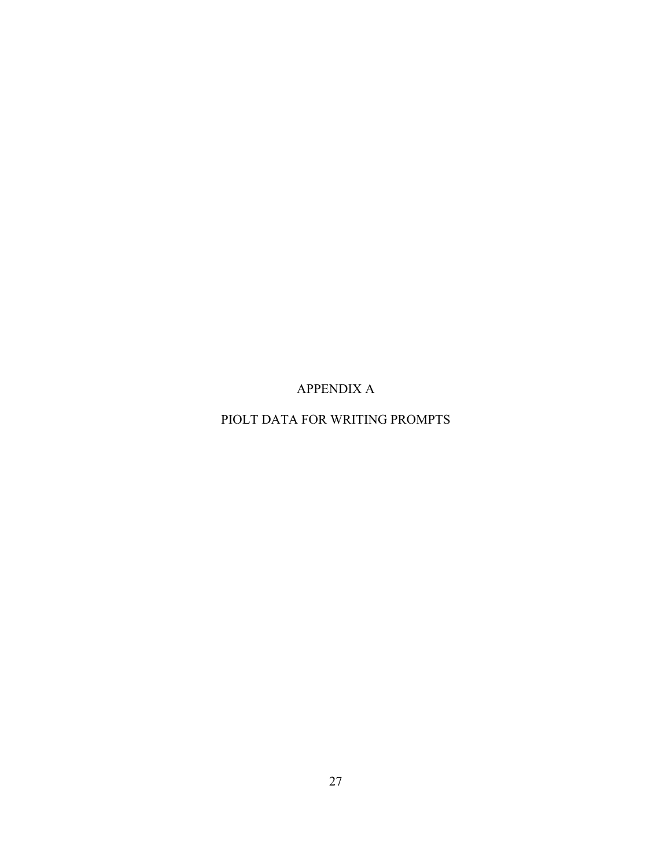APPENDIX A

PIOLT DATA FOR WRITING PROMPTS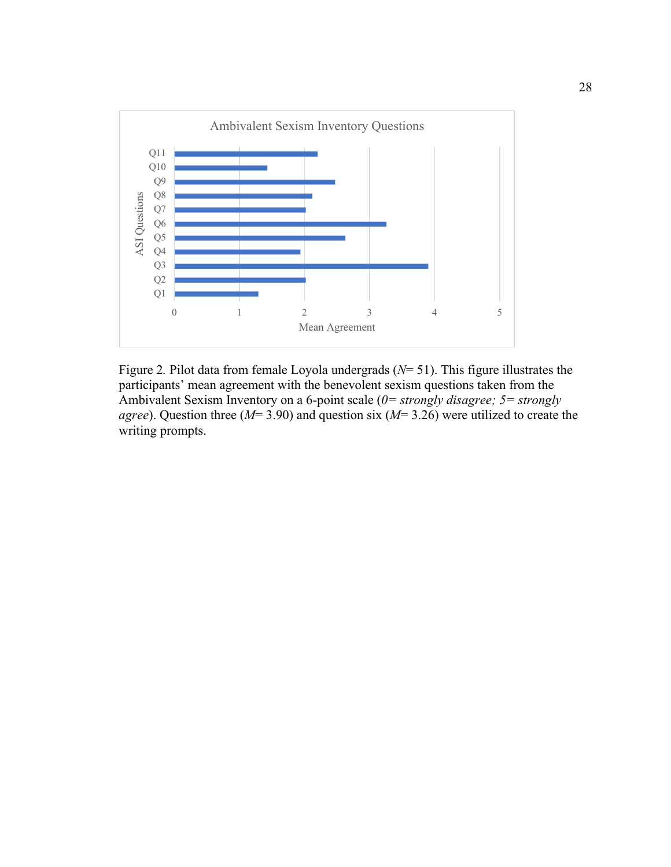

Figure 2*.* Pilot data from female Loyola undergrads (*N*= 51). This figure illustrates the participants' mean agreement with the benevolent sexism questions taken from the Ambivalent Sexism Inventory on a 6-point scale (*0= strongly disagree; 5= strongly agree*). Question three (*M*= 3.90) and question six (*M*= 3.26) were utilized to create the writing prompts.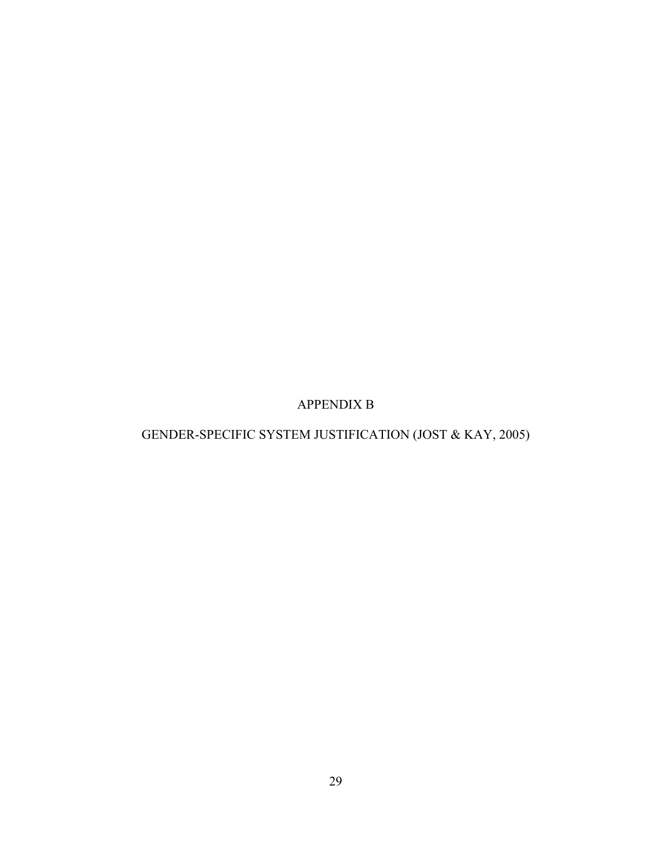APPENDIX B

GENDER-SPECIFIC SYSTEM JUSTIFICATION (JOST & KAY, 2005)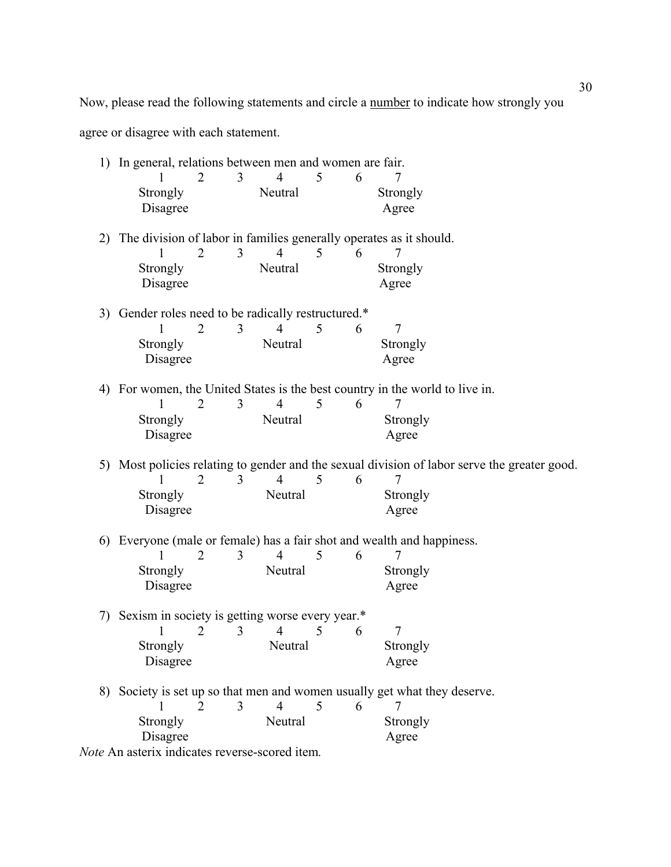Now, please read the following statements and circle a number to indicate how strongly you

agree or disagree with each statement.

| 1) In general, relations between men and women are fair. |                     |                |   |   |                                                                                              |  |
|----------------------------------------------------------|---------------------|----------------|---|---|----------------------------------------------------------------------------------------------|--|
|                                                          | 3<br>2              | 4              | 5 | 6 | 7                                                                                            |  |
| Strongly                                                 |                     | Neutral        |   |   | Strongly                                                                                     |  |
| Disagree                                                 |                     |                |   |   | Agree                                                                                        |  |
|                                                          |                     |                |   |   |                                                                                              |  |
|                                                          |                     |                |   |   | 2) The division of labor in families generally operates as it should.                        |  |
|                                                          | $\overline{2}$<br>3 | $\overline{4}$ | 5 | 6 | 7                                                                                            |  |
| Strongly                                                 |                     | Neutral        |   |   | Strongly                                                                                     |  |
| Disagree                                                 |                     |                |   |   | Agree                                                                                        |  |
| 3) Gender roles need to be radically restructured.*      |                     |                |   |   |                                                                                              |  |
|                                                          | $\overline{2}$<br>3 | 4              | 5 | 6 | 7                                                                                            |  |
| Strongly                                                 |                     | Neutral        |   |   | Strongly                                                                                     |  |
| Disagree                                                 |                     |                |   |   | Agree                                                                                        |  |
|                                                          |                     |                |   |   |                                                                                              |  |
|                                                          |                     |                |   |   | 4) For women, the United States is the best country in the world to live in.                 |  |
| 1                                                        | 3<br>$\overline{2}$ | $\overline{4}$ | 5 | 6 | 7                                                                                            |  |
| Strongly                                                 |                     | Neutral        |   |   | Strongly                                                                                     |  |
| Disagree                                                 |                     |                |   |   | Agree                                                                                        |  |
|                                                          |                     |                |   |   | 5) Most policies relating to gender and the sexual division of labor serve the greater good. |  |
|                                                          | $\overline{2}$<br>3 | 4              | 5 | 6 | 7                                                                                            |  |
| Strongly                                                 |                     | Neutral        |   |   | Strongly                                                                                     |  |
| Disagree                                                 |                     |                |   |   | Agree                                                                                        |  |
|                                                          |                     |                |   |   |                                                                                              |  |
|                                                          |                     |                |   |   | 6) Everyone (male or female) has a fair shot and wealth and happiness.                       |  |
|                                                          | $\overline{2}$<br>3 | $\overline{4}$ | 5 | 6 | 7                                                                                            |  |
| Strongly                                                 |                     | Neutral        |   |   | Strongly                                                                                     |  |
| Disagree                                                 |                     |                |   |   | Agree                                                                                        |  |
|                                                          |                     |                |   |   |                                                                                              |  |
| 7) Sexism in society is getting worse every year.*       | 2<br>3              | $\overline{4}$ | 5 | 6 | 7                                                                                            |  |
| Strongly                                                 |                     | Neutral        |   |   |                                                                                              |  |
| Disagree                                                 |                     |                |   |   | Strongly<br>Agree                                                                            |  |
|                                                          |                     |                |   |   |                                                                                              |  |
|                                                          |                     |                |   |   | 8) Society is set up so that men and women usually get what they deserve.                    |  |
|                                                          | $\mathfrak{D}$<br>3 | $\overline{4}$ | 5 | 6 | 7                                                                                            |  |
| Strongly                                                 |                     | Neutral        |   |   | Strongly                                                                                     |  |
| Disagree                                                 |                     |                |   |   | Agree                                                                                        |  |
| Note An asterix indicates reverse-scored item.           |                     |                |   |   |                                                                                              |  |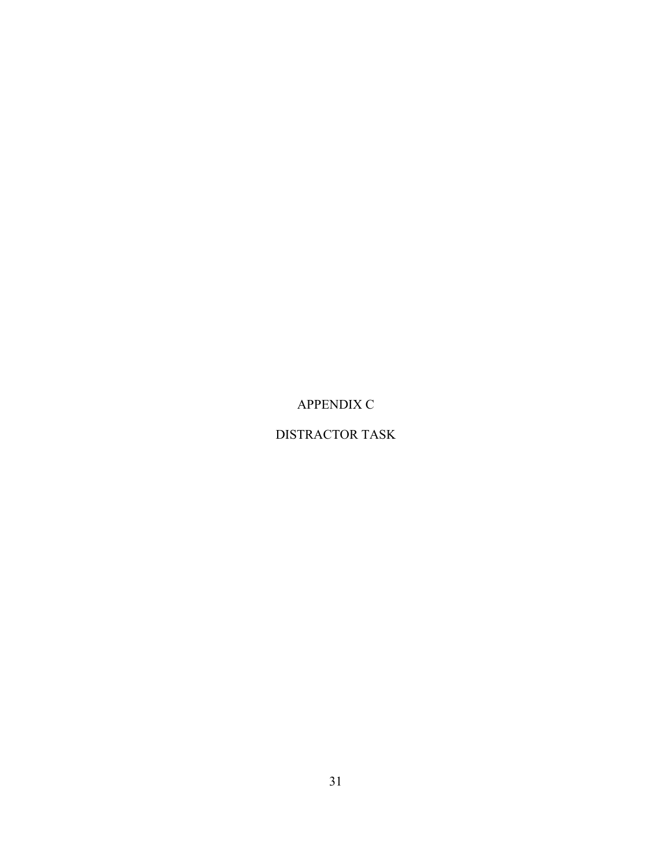APPENDIX C

# DISTRACTOR TASK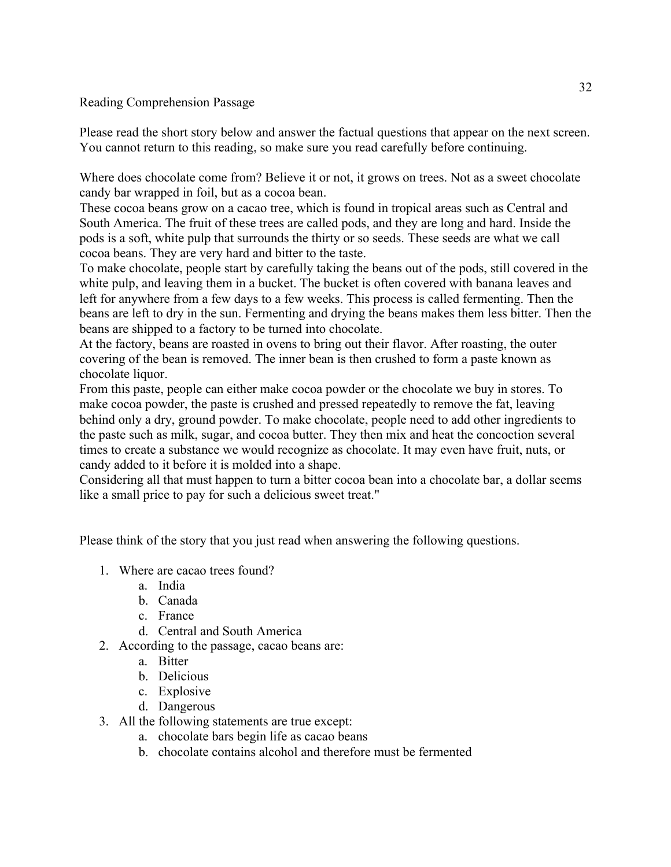# Reading Comprehension Passage

Please read the short story below and answer the factual questions that appear on the next screen. You cannot return to this reading, so make sure you read carefully before continuing.

Where does chocolate come from? Believe it or not, it grows on trees. Not as a sweet chocolate candy bar wrapped in foil, but as a cocoa bean.

These cocoa beans grow on a cacao tree, which is found in tropical areas such as Central and South America. The fruit of these trees are called pods, and they are long and hard. Inside the pods is a soft, white pulp that surrounds the thirty or so seeds. These seeds are what we call cocoa beans. They are very hard and bitter to the taste.

To make chocolate, people start by carefully taking the beans out of the pods, still covered in the white pulp, and leaving them in a bucket. The bucket is often covered with banana leaves and left for anywhere from a few days to a few weeks. This process is called fermenting. Then the beans are left to dry in the sun. Fermenting and drying the beans makes them less bitter. Then the beans are shipped to a factory to be turned into chocolate.

At the factory, beans are roasted in ovens to bring out their flavor. After roasting, the outer covering of the bean is removed. The inner bean is then crushed to form a paste known as chocolate liquor.

From this paste, people can either make cocoa powder or the chocolate we buy in stores. To make cocoa powder, the paste is crushed and pressed repeatedly to remove the fat, leaving behind only a dry, ground powder. To make chocolate, people need to add other ingredients to the paste such as milk, sugar, and cocoa butter. They then mix and heat the concoction several times to create a substance we would recognize as chocolate. It may even have fruit, nuts, or candy added to it before it is molded into a shape.

Considering all that must happen to turn a bitter cocoa bean into a chocolate bar, a dollar seems like a small price to pay for such a delicious sweet treat."

Please think of the story that you just read when answering the following questions.

- 1. Where are cacao trees found?
	- a. India
	- b. Canada
	- c. France
	- d. Central and South America

2. According to the passage, cacao beans are:

- a. Bitter
- b. Delicious
- c. Explosive
- d. Dangerous
- 3. All the following statements are true except:
	- a. chocolate bars begin life as cacao beans
	- b. chocolate contains alcohol and therefore must be fermented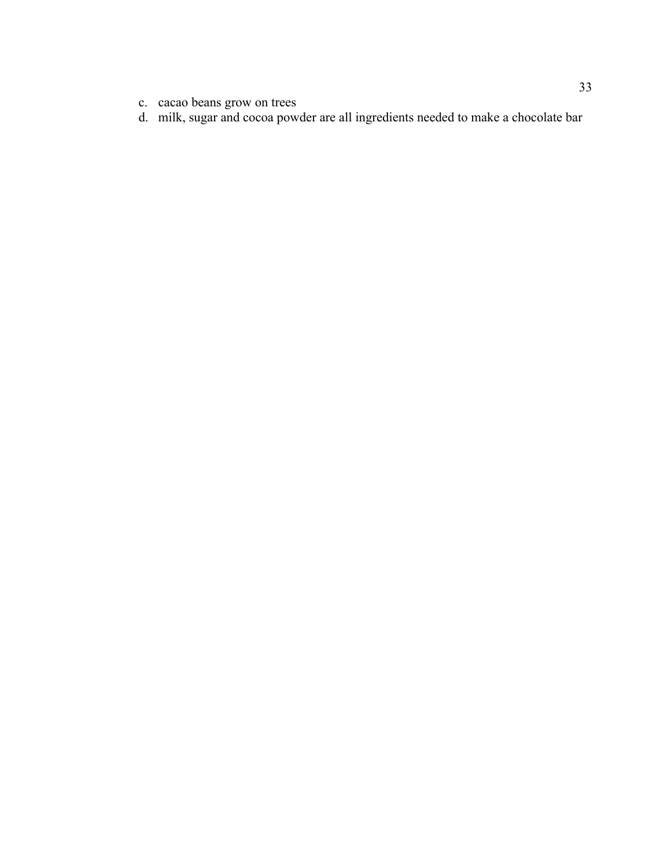- c. cacao beans grow on trees
- d. milk, sugar and cocoa powder are all ingredients needed to make a chocolate bar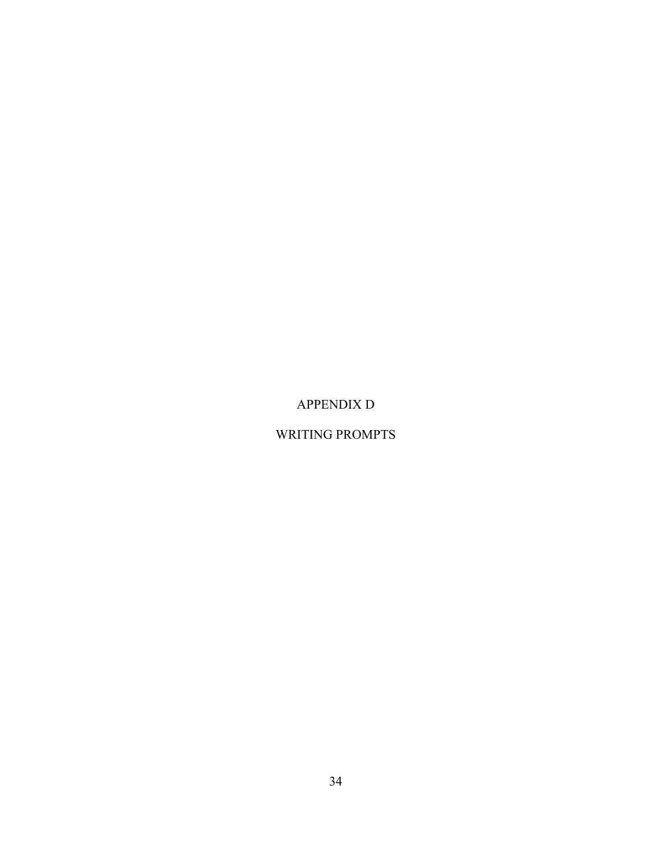APPENDIX D

# WRITING PROMPTS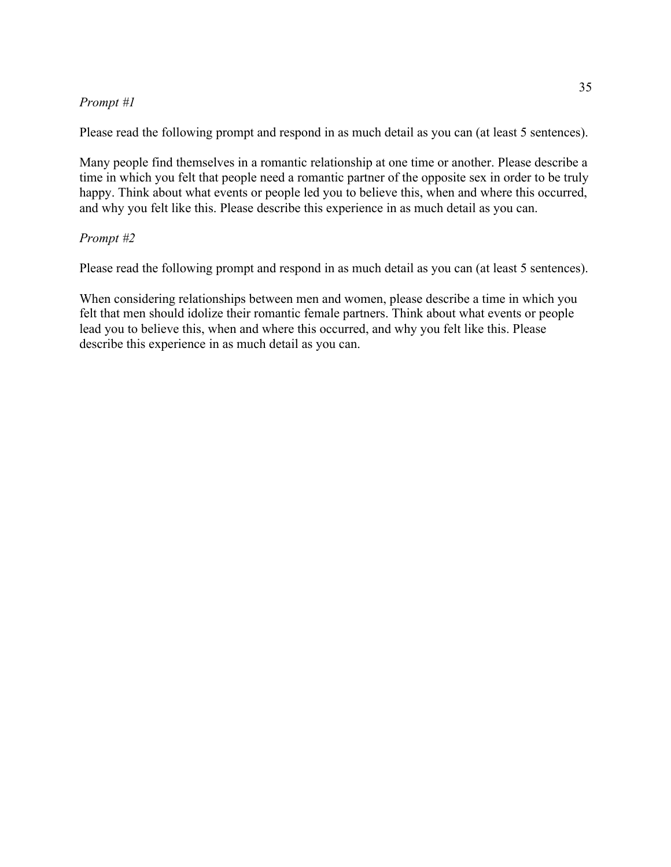# *Prompt #1*

Please read the following prompt and respond in as much detail as you can (at least 5 sentences).

Many people find themselves in a romantic relationship at one time or another. Please describe a time in which you felt that people need a romantic partner of the opposite sex in order to be truly happy. Think about what events or people led you to believe this, when and where this occurred, and why you felt like this. Please describe this experience in as much detail as you can.

# *Prompt #2*

Please read the following prompt and respond in as much detail as you can (at least 5 sentences).

When considering relationships between men and women, please describe a time in which you felt that men should idolize their romantic female partners. Think about what events or people lead you to believe this, when and where this occurred, and why you felt like this. Please describe this experience in as much detail as you can.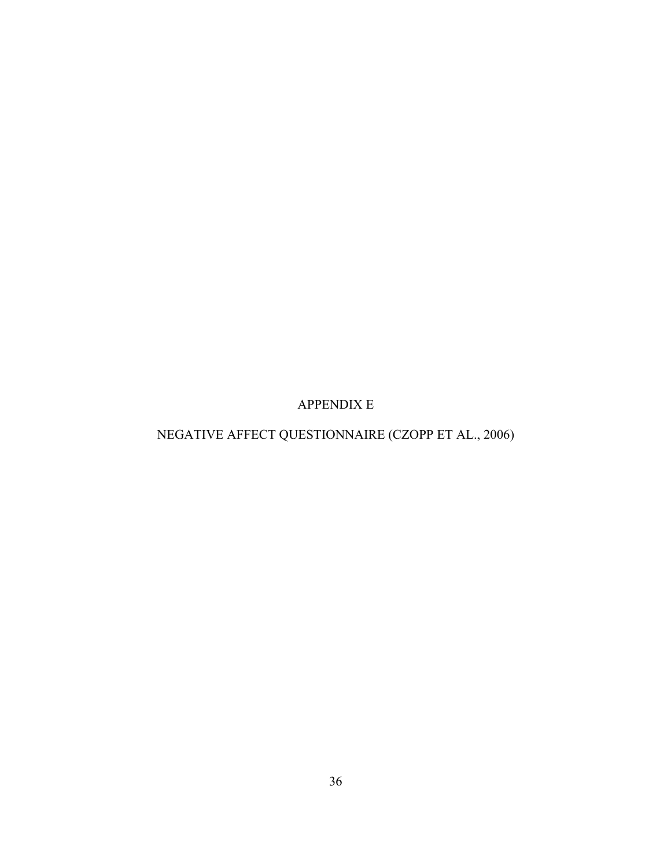APPENDIX E

NEGATIVE AFFECT QUESTIONNAIRE (CZOPP ET AL., 2006)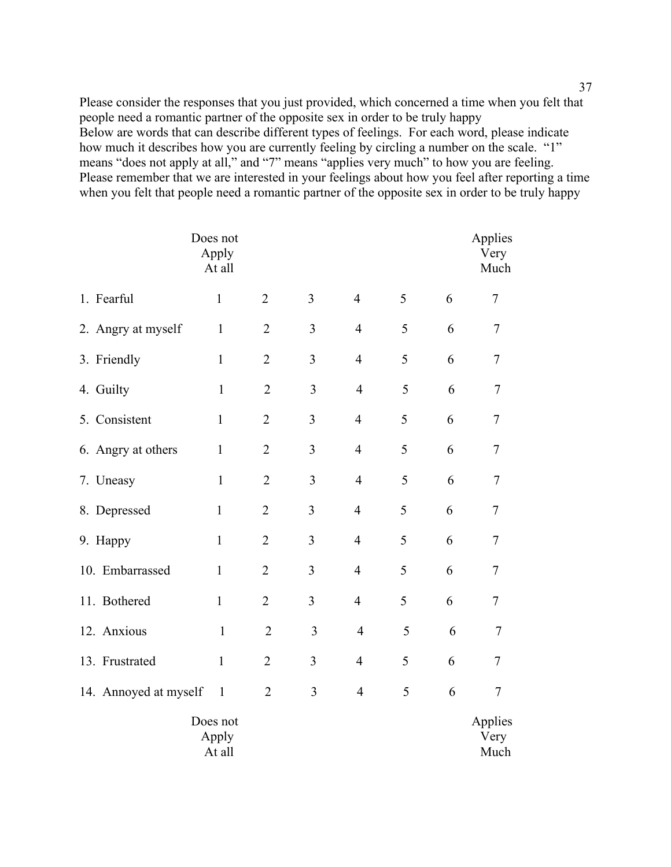Please consider the responses that you just provided, which concerned a time when you felt that people need a romantic partner of the opposite sex in order to be truly happy Below are words that can describe different types of feelings. For each word, please indicate how much it describes how you are currently feeling by circling a number on the scale. "1" means "does not apply at all," and "7" means "applies very much" to how you are feeling. Please remember that we are interested in your feelings about how you feel after reporting a time when you felt that people need a romantic partner of the opposite sex in order to be truly happy

|                       | Does not<br>Apply<br>At all |                |                |                         |   |   | Applies<br>Very<br>Much |
|-----------------------|-----------------------------|----------------|----------------|-------------------------|---|---|-------------------------|
| 1. Fearful            | $\mathbf{1}$                | $\overline{2}$ | $\overline{3}$ | $\overline{4}$          | 5 | 6 | 7                       |
| 2. Angry at myself    | $\mathbf{1}$                | $\overline{2}$ | $\overline{3}$ | $\overline{4}$          | 5 | 6 | 7                       |
| 3. Friendly           | $\mathbf{1}$                | $\overline{2}$ | $\overline{3}$ | $\overline{4}$          | 5 | 6 | $\tau$                  |
| 4. Guilty             | $\mathbf{1}$                | $\overline{2}$ | 3              | $\overline{4}$          | 5 | 6 | $\overline{7}$          |
| 5. Consistent         | $\mathbf{1}$                | $\overline{2}$ | 3              | $\overline{4}$          | 5 | 6 | 7                       |
| 6. Angry at others    | $\mathbf{1}$                | $\overline{2}$ | 3              | $\overline{4}$          | 5 | 6 | 7                       |
| 7. Uneasy             | $\mathbf{1}$                | $\overline{2}$ | 3              | $\overline{4}$          | 5 | 6 | 7                       |
| 8. Depressed          | $\mathbf{1}$                | $\overline{2}$ | 3              | $\overline{4}$          | 5 | 6 | $\overline{7}$          |
| 9. Happy              | $\mathbf{1}$                | $\overline{2}$ | 3              | $\overline{4}$          | 5 | 6 | $\overline{7}$          |
| 10. Embarrassed       | $\mathbf{1}$                | $\overline{2}$ | 3              | $\overline{4}$          | 5 | 6 | $\tau$                  |
| 11. Bothered          | $\mathbf{1}$                | $\overline{2}$ | $\overline{3}$ | $\overline{4}$          | 5 | 6 | $\tau$                  |
| 12. Anxious           | $\mathbf{1}$                | $\overline{2}$ | 3              | $\overline{4}$          | 5 | 6 | 7                       |
| 13. Frustrated        | $\mathbf{1}$                | $\overline{2}$ | 3              | $\overline{4}$          | 5 | 6 | $\tau$                  |
| 14. Annoyed at myself | $\mathbf{1}$                | $\overline{2}$ | 3              | $\overline{\mathbf{4}}$ | 5 | 6 | $\tau$                  |
|                       | Does not<br>Apply<br>At all |                |                |                         |   |   | Applies<br>Very<br>Much |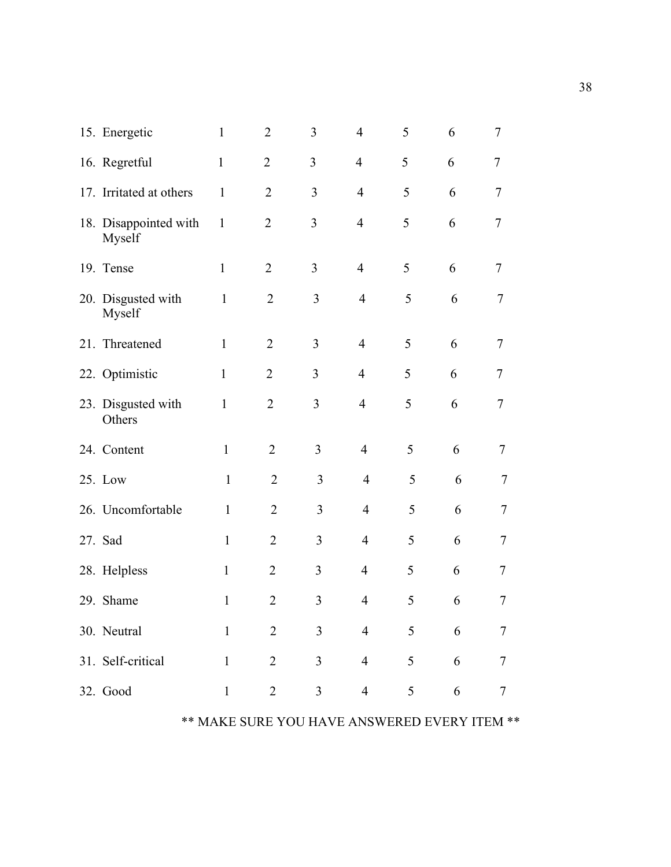| 15. Energetic                   | $\mathbf{1}$ | $\overline{2}$ | 3              | $\overline{4}$ | 5 | 6 | 7      |
|---------------------------------|--------------|----------------|----------------|----------------|---|---|--------|
| 16. Regretful                   | $\mathbf{1}$ | $\overline{2}$ | 3              | 4              | 5 | 6 | 7      |
| 17. Irritated at others         | $\mathbf{1}$ | $\overline{2}$ | 3              | $\overline{4}$ | 5 | 6 | $\tau$ |
| 18. Disappointed with<br>Myself | $\mathbf{1}$ | $\overline{2}$ | 3              | $\overline{4}$ | 5 | 6 | 7      |
| 19. Tense                       | $\mathbf{1}$ | $\overline{2}$ | 3              | $\overline{4}$ | 5 | 6 | 7      |
| 20. Disgusted with<br>Myself    | $\mathbf{1}$ | $\overline{2}$ | 3              | $\overline{4}$ | 5 | 6 | $\tau$ |
| 21. Threatened                  | $\mathbf{1}$ | $\overline{2}$ | 3              | $\overline{4}$ | 5 | 6 | 7      |
| 22. Optimistic                  | $\mathbf{1}$ | $\overline{2}$ | 3              | $\overline{4}$ | 5 | 6 | 7      |
| 23. Disgusted with<br>Others    | $\mathbf{1}$ | $\overline{2}$ | 3              | $\overline{4}$ | 5 | 6 | $\tau$ |
| 24. Content                     | $\mathbf{1}$ | $\overline{2}$ | 3              | $\overline{4}$ | 5 | 6 | 7      |
| 25. Low                         | $\mathbf{1}$ | $\overline{2}$ | 3              | $\overline{4}$ | 5 | 6 | 7      |
| 26. Uncomfortable               | $\mathbf{1}$ | $\overline{2}$ | 3              | $\overline{4}$ | 5 | 6 | 7      |
| 27. Sad                         | $\mathbf{1}$ | $\overline{2}$ | 3              | $\overline{4}$ | 5 | 6 | 7      |
| 28. Helpless                    | $\mathbf{1}$ | $\overline{2}$ | 3              | $\overline{4}$ | 5 | 6 | 7      |
| 29. Shame                       | $\mathbf{1}$ | $\overline{2}$ | 3              | $\overline{4}$ | 5 | 6 | 7      |
| 30. Neutral                     | $\mathbf{1}$ | $\overline{2}$ | $\mathfrak{Z}$ | $\overline{4}$ | 5 | 6 | 7      |
| 31. Self-critical               | $\mathbf{1}$ | $\overline{2}$ | $\mathfrak{Z}$ | $\overline{4}$ | 5 | 6 | 7      |
| 32. Good                        | $\mathbf{1}$ | $\overline{2}$ | 3              | $\overline{4}$ | 5 | 6 | $\tau$ |

# \*\* MAKE SURE YOU HAVE ANSWERED EVERY ITEM \*\*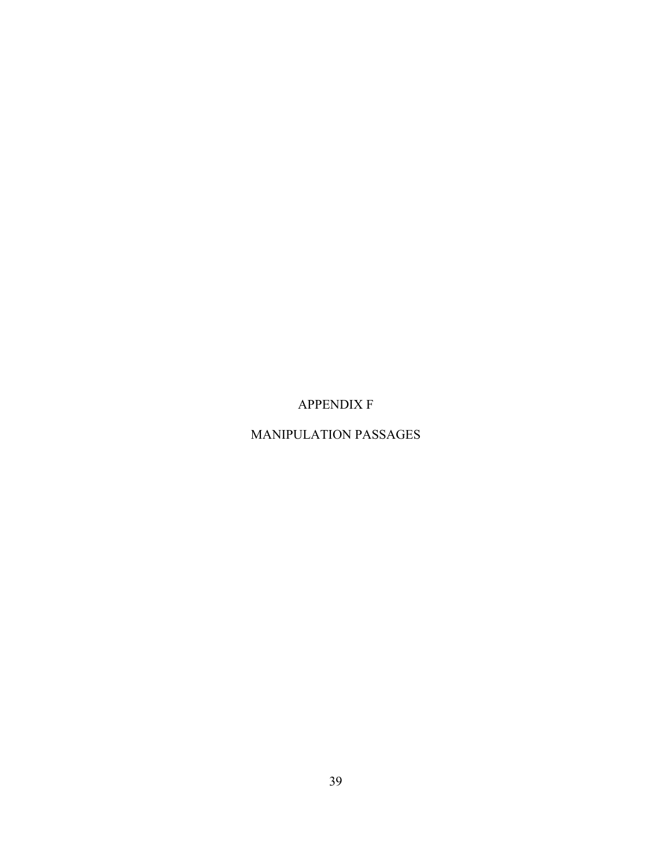APPENDIX F

# MANIPULATION PASSAGES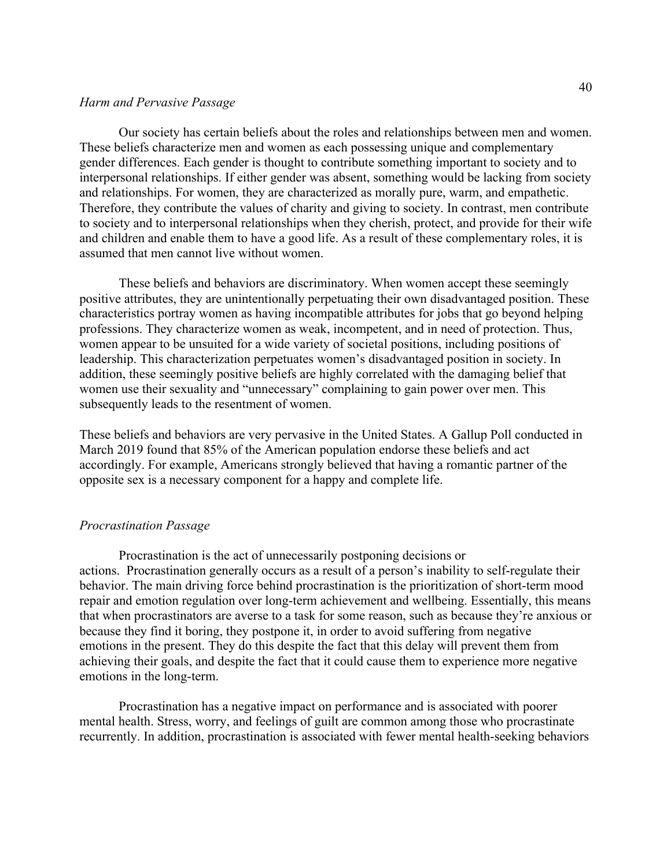#### *Harm and Pervasive Passage*

Our society has certain beliefs about the roles and relationships between men and women. These beliefs characterize men and women as each possessing unique and complementary gender differences. Each gender is thought to contribute something important to society and to interpersonal relationships. If either gender was absent, something would be lacking from society and relationships. For women, they are characterized as morally pure, warm, and empathetic. Therefore, they contribute the values of charity and giving to society. In contrast, men contribute to society and to interpersonal relationships when they cherish, protect, and provide for their wife and children and enable them to have a good life. As a result of these complementary roles, it is assumed that men cannot live without women.

These beliefs and behaviors are discriminatory. When women accept these seemingly positive attributes, they are unintentionally perpetuating their own disadvantaged position. These characteristics portray women as having incompatible attributes for jobs that go beyond helping professions. They characterize women as weak, incompetent, and in need of protection. Thus, women appear to be unsuited for a wide variety of societal positions, including positions of leadership. This characterization perpetuates women's disadvantaged position in society. In addition, these seemingly positive beliefs are highly correlated with the damaging belief that women use their sexuality and "unnecessary" complaining to gain power over men. This subsequently leads to the resentment of women.

These beliefs and behaviors are very pervasive in the United States. A Gallup Poll conducted in March 2019 found that 85% of the American population endorse these beliefs and act accordingly. For example, Americans strongly believed that having a romantic partner of the opposite sex is a necessary component for a happy and complete life.

#### *Procrastination Passage*

Procrastination is the act of unnecessarily postponing decisions or actions. Procrastination generally occurs as a result of a person's inability to self-regulate their behavior. The main driving force behind procrastination is the prioritization of short-term mood repair and emotion regulation over long-term achievement and wellbeing. Essentially, this means that when procrastinators are averse to a task for some reason, such as because they're anxious or because they find it boring, they postpone it, in order to avoid suffering from negative emotions in the present. They do this despite the fact that this delay will prevent them from achieving their goals, and despite the fact that it could cause them to experience more negative emotions in the long-term.

Procrastination has a negative impact on performance and is associated with poorer mental health. Stress, worry, and feelings of guilt are common among those who procrastinate recurrently. In addition, procrastination is associated with fewer mental health-seeking behaviors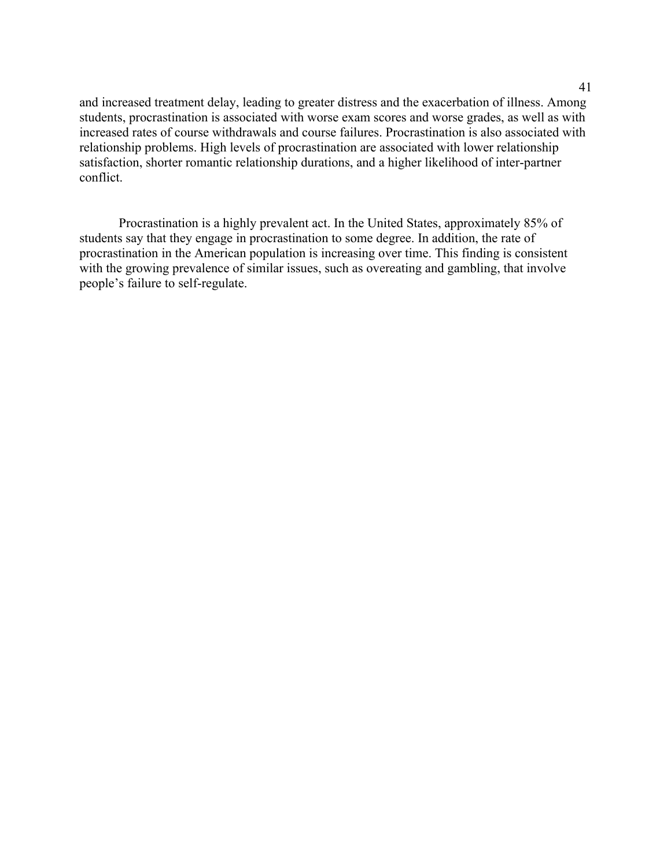and increased treatment delay, leading to greater distress and the exacerbation of illness. Among students, procrastination is associated with worse exam scores and worse grades, as well as with increased rates of course withdrawals and course failures. Procrastination is also associated with relationship problems. High levels of procrastination are associated with lower relationship satisfaction, shorter romantic relationship durations, and a higher likelihood of inter-partner conflict.

Procrastination is a highly prevalent act. In the United States, approximately 85% of students say that they engage in procrastination to some degree. In addition, the rate of procrastination in the American population is increasing over time. This finding is consistent with the growing prevalence of similar issues, such as overeating and gambling, that involve people's failure to self-regulate.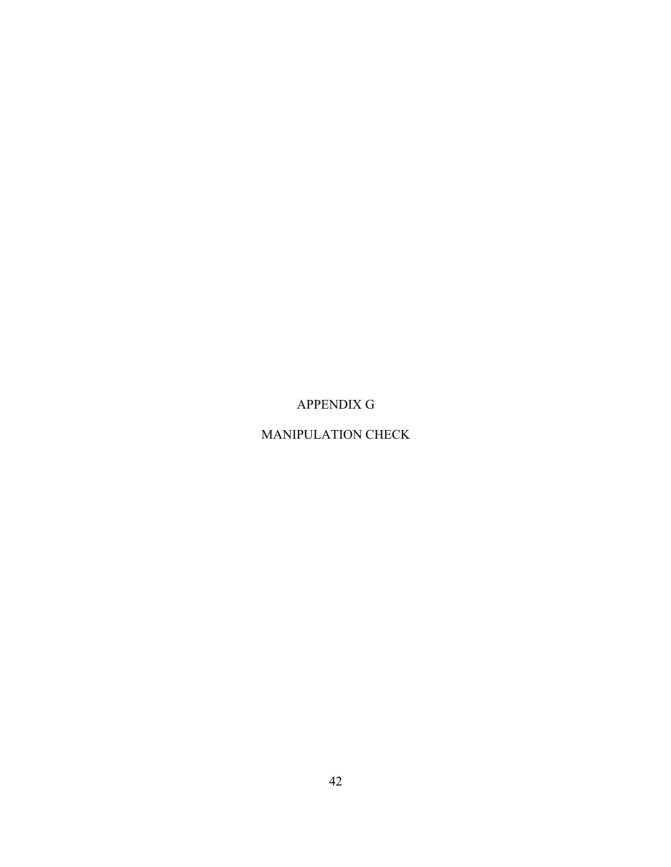APPENDIX G

# MANIPULATION CHECK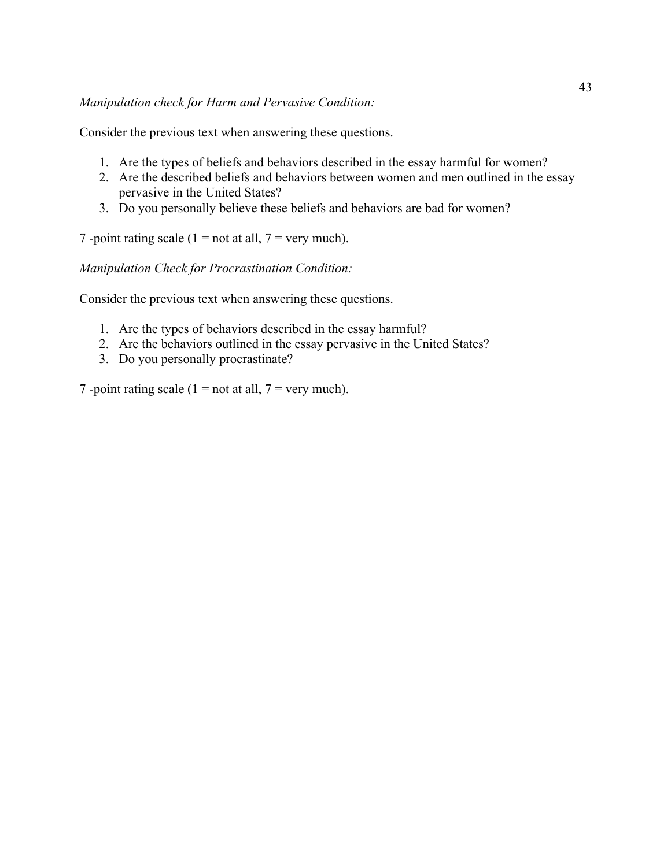Consider the previous text when answering these questions.

- 1. Are the types of beliefs and behaviors described in the essay harmful for women?
- 2. Are the described beliefs and behaviors between women and men outlined in the essay pervasive in the United States?
- 3. Do you personally believe these beliefs and behaviors are bad for women?

7 -point rating scale (1 = not at all, 7 = very much).

*Manipulation Check for Procrastination Condition:*

Consider the previous text when answering these questions.

- 1. Are the types of behaviors described in the essay harmful?
- 2. Are the behaviors outlined in the essay pervasive in the United States?
- 3. Do you personally procrastinate?

7 -point rating scale (1 = not at all, 7 = very much).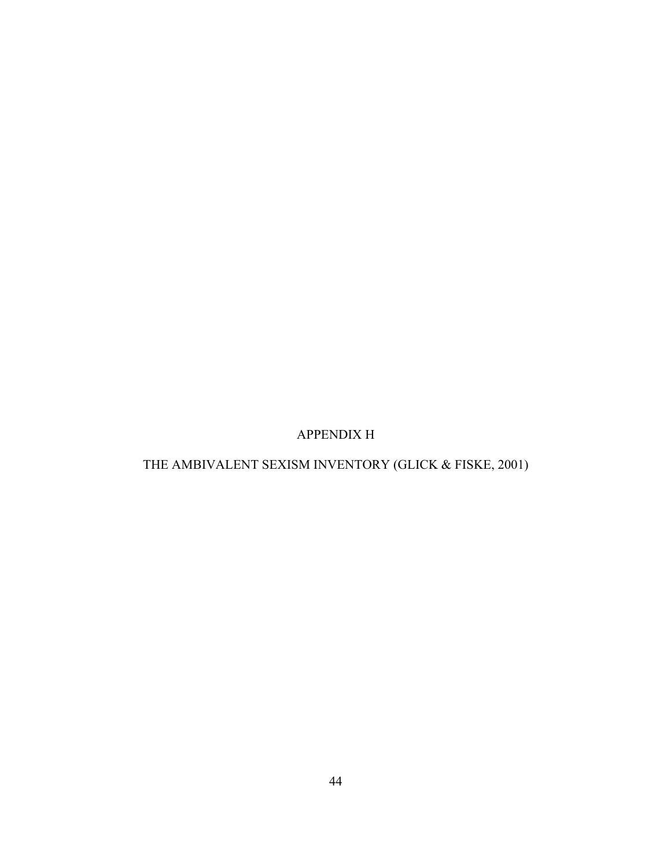# APPENDIX H

# THE AMBIVALENT SEXISM INVENTORY (GLICK & FISKE, 2001)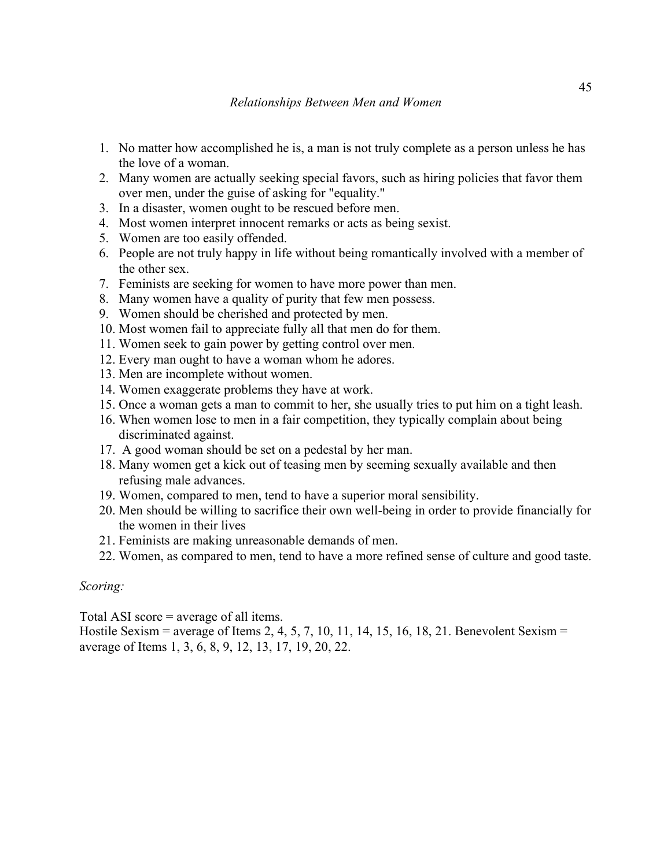- 1. No matter how accomplished he is, a man is not truly complete as a person unless he has the love of a woman.
- 2. Many women are actually seeking special favors, such as hiring policies that favor them over men, under the guise of asking for "equality."
- 3. In a disaster, women ought to be rescued before men.
- 4. Most women interpret innocent remarks or acts as being sexist.
- 5. Women are too easily offended.
- 6. People are not truly happy in life without being romantically involved with a member of the other sex.
- 7. Feminists are seeking for women to have more power than men.
- 8. Many women have a quality of purity that few men possess.
- 9. Women should be cherished and protected by men.
- 10. Most women fail to appreciate fully all that men do for them.
- 11. Women seek to gain power by getting control over men.
- 12. Every man ought to have a woman whom he adores.
- 13. Men are incomplete without women.
- 14. Women exaggerate problems they have at work.
- 15. Once a woman gets a man to commit to her, she usually tries to put him on a tight leash.
- 16. When women lose to men in a fair competition, they typically complain about being discriminated against.
- 17. A good woman should be set on a pedestal by her man.
- 18. Many women get a kick out of teasing men by seeming sexually available and then refusing male advances.
- 19. Women, compared to men, tend to have a superior moral sensibility.
- 20. Men should be willing to sacrifice their own well-being in order to provide financially for the women in their lives
- 21. Feminists are making unreasonable demands of men.
- 22. Women, as compared to men, tend to have a more refined sense of culture and good taste.

#### *Scoring:*

Total ASI score = average of all items.

Hostile Sexism = average of Items 2, 4, 5, 7, 10, 11, 14, 15, 16, 18, 21. Benevolent Sexism = average of Items 1, 3, 6, 8, 9, 12, 13, 17, 19, 20, 22.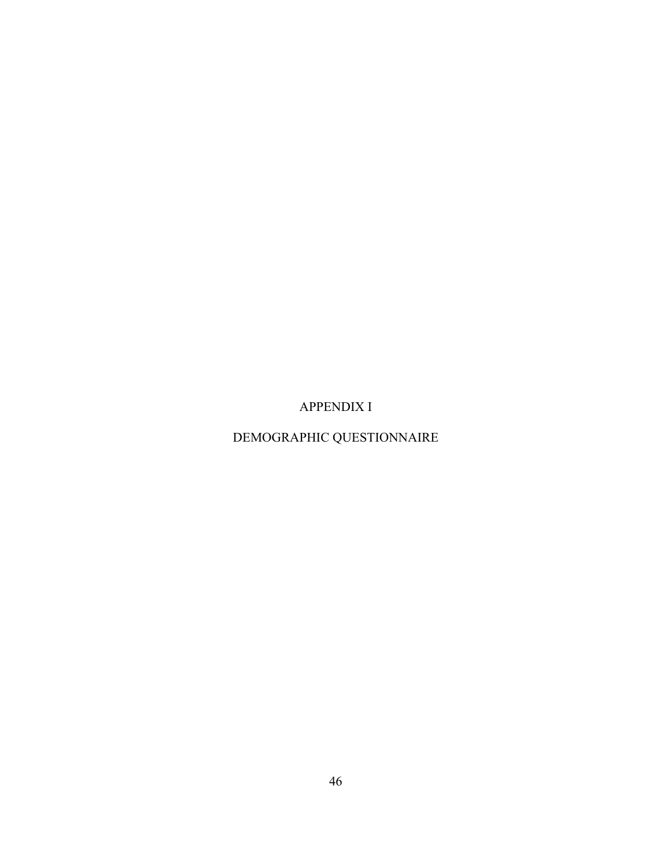APPENDIX I

DEMOGRAPHIC QUESTIONNAIRE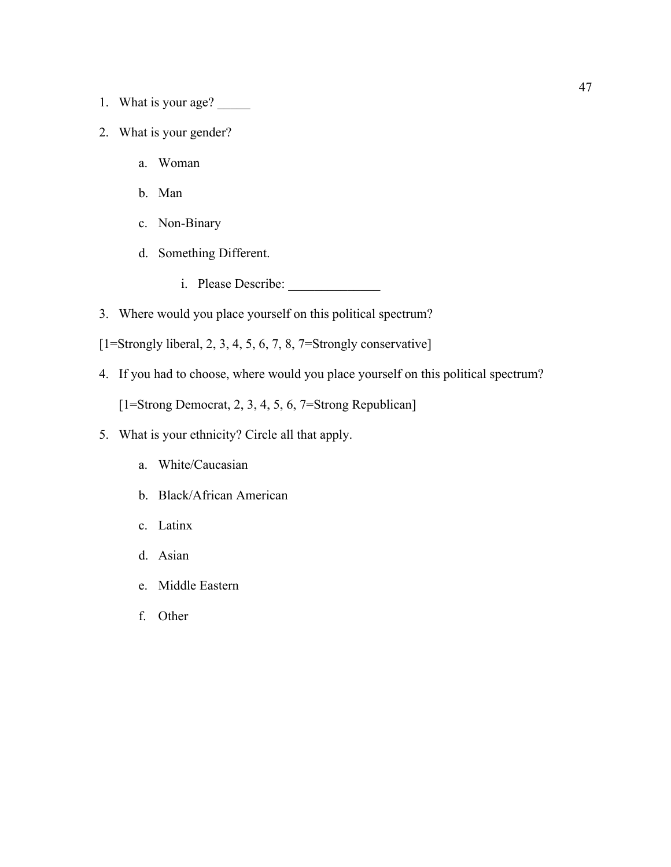- 1. What is your age? \_\_\_\_\_\_\_
- 2. What is your gender?
	- a. Woman
	- b. Man
	- c. Non-Binary
	- d. Something Different.
		- i. Please Describe:
- 3. Where would you place yourself on this political spectrum?
- $[1=Strongly liberal, 2, 3, 4, 5, 6, 7, 8, 7=Strongly conservative]$
- 4. If you had to choose, where would you place yourself on this political spectrum?

[1=Strong Democrat, 2, 3, 4, 5, 6, 7=Strong Republican]

- 5. What is your ethnicity? Circle all that apply.
	- a. White/Caucasian
	- b. Black/African American
	- c. Latinx
	- d. Asian
	- e. Middle Eastern
	- f. Other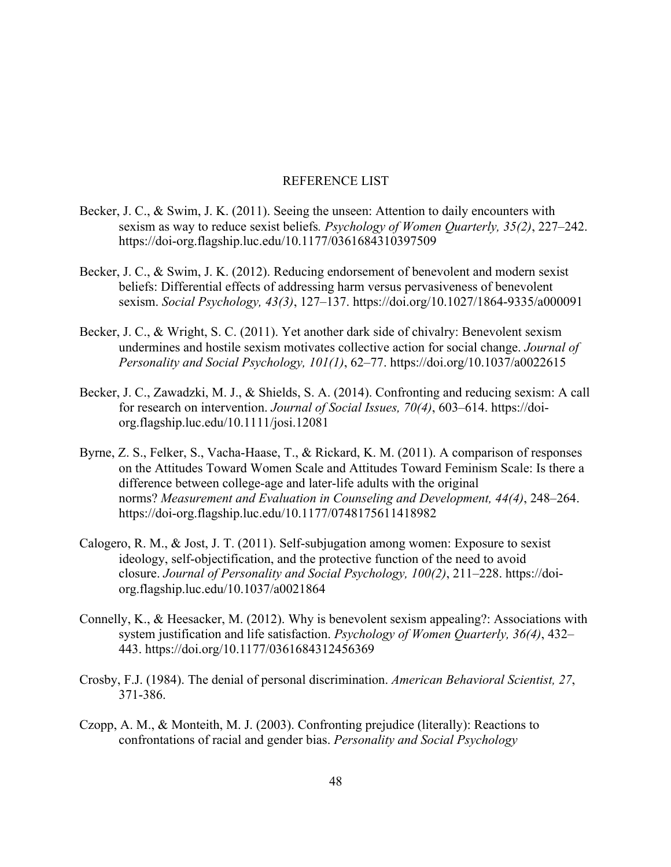#### REFERENCE LIST

- Becker, J. C., & Swim, J. K. (2011). Seeing the unseen: Attention to daily encounters with sexism as way to reduce sexist beliefs*. Psychology of Women Quarterly, 35(2)*, 227–242. https://doi-org.flagship.luc.edu/10.1177/0361684310397509
- Becker, J. C., & Swim, J. K. (2012). Reducing endorsement of benevolent and modern sexist beliefs: Differential effects of addressing harm versus pervasiveness of benevolent sexism. *Social Psychology, 43(3)*, 127–137. https://doi.org/10.1027/1864-9335/a000091
- Becker, J. C., & Wright, S. C. (2011). Yet another dark side of chivalry: Benevolent sexism undermines and hostile sexism motivates collective action for social change. *Journal of Personality and Social Psychology, 101(1)*, 62–77. https://doi.org/10.1037/a0022615
- Becker, J. C., Zawadzki, M. J., & Shields, S. A. (2014). Confronting and reducing sexism: A call for research on intervention. *Journal of Social Issues, 70(4)*, 603–614. https://doiorg.flagship.luc.edu/10.1111/josi.12081
- Byrne, Z. S., Felker, S., Vacha-Haase, T., & Rickard, K. M. (2011). A comparison of responses on the Attitudes Toward Women Scale and Attitudes Toward Feminism Scale: Is there a difference between college-age and later-life adults with the original norms? *Measurement and Evaluation in Counseling and Development, 44(4)*, 248–264. https://doi-org.flagship.luc.edu/10.1177/0748175611418982
- Calogero, R. M., & Jost, J. T. (2011). Self-subjugation among women: Exposure to sexist ideology, self-objectification, and the protective function of the need to avoid closure. *Journal of Personality and Social Psychology, 100(2)*, 211–228. https://doiorg.flagship.luc.edu/10.1037/a0021864
- Connelly, K., & Heesacker, M. (2012). Why is benevolent sexism appealing?: Associations with system justification and life satisfaction. *Psychology of Women Quarterly, 36(4)*, 432– 443. https://doi.org/10.1177/0361684312456369
- Crosby, F.J. (1984). The denial of personal discrimination. *American Behavioral Scientist, 27*, 371-386.
- Czopp, A. M., & Monteith, M. J. (2003). Confronting prejudice (literally): Reactions to confrontations of racial and gender bias. *Personality and Social Psychology*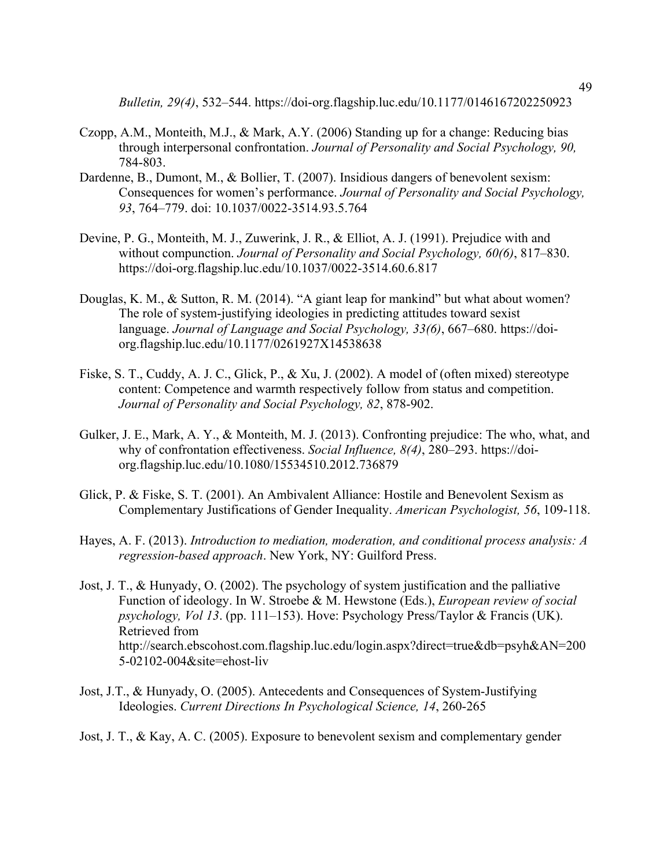*Bulletin, 29(4)*, 532–544. https://doi-org.flagship.luc.edu/10.1177/0146167202250923

- Czopp, A.M., Monteith, M.J., & Mark, A.Y. (2006) Standing up for a change: Reducing bias through interpersonal confrontation. *Journal of Personality and Social Psychology, 90,* 784-803.
- Dardenne, B., Dumont, M., & Bollier, T. (2007). Insidious dangers of benevolent sexism: Consequences for women's performance. *Journal of Personality and Social Psychology, 93*, 764–779. doi: 10.1037/0022-3514.93.5.764
- Devine, P. G., Monteith, M. J., Zuwerink, J. R., & Elliot, A. J. (1991). Prejudice with and without compunction. *Journal of Personality and Social Psychology, 60(6)*, 817–830. https://doi-org.flagship.luc.edu/10.1037/0022-3514.60.6.817
- Douglas, K. M., & Sutton, R. M. (2014). "A giant leap for mankind" but what about women? The role of system-justifying ideologies in predicting attitudes toward sexist language. *Journal of Language and Social Psychology, 33(6)*, 667–680. https://doiorg.flagship.luc.edu/10.1177/0261927X14538638
- Fiske, S. T., Cuddy, A. J. C., Glick, P., & Xu, J. (2002). A model of (often mixed) stereotype content: Competence and warmth respectively follow from status and competition. *Journal of Personality and Social Psychology, 82*, 878-902.
- Gulker, J. E., Mark, A. Y., & Monteith, M. J. (2013). Confronting prejudice: The who, what, and why of confrontation effectiveness. *Social Influence, 8(4)*, 280–293. https://doiorg.flagship.luc.edu/10.1080/15534510.2012.736879
- Glick, P. & Fiske, S. T. (2001). An Ambivalent Alliance: Hostile and Benevolent Sexism as Complementary Justifications of Gender Inequality. *American Psychologist, 56*, 109-118.
- Hayes, A. F. (2013). *Introduction to mediation, moderation, and conditional process analysis: A regression-based approach*. New York, NY: Guilford Press.
- Jost, J. T., & Hunyady, O. (2002). The psychology of system justification and the palliative Function of ideology. In W. Stroebe & M. Hewstone (Eds.), *European review of social psychology, Vol 13*. (pp. 111–153). Hove: Psychology Press/Taylor & Francis (UK). Retrieved from http://search.ebscohost.com.flagship.luc.edu/login.aspx?direct=true&db=psyh&AN=200 5-02102-004&site=ehost-liv
- Jost, J.T., & Hunyady, O. (2005). Antecedents and Consequences of System-Justifying Ideologies. *Current Directions In Psychological Science, 14*, 260-265
- Jost, J. T., & Kay, A. C. (2005). Exposure to benevolent sexism and complementary gender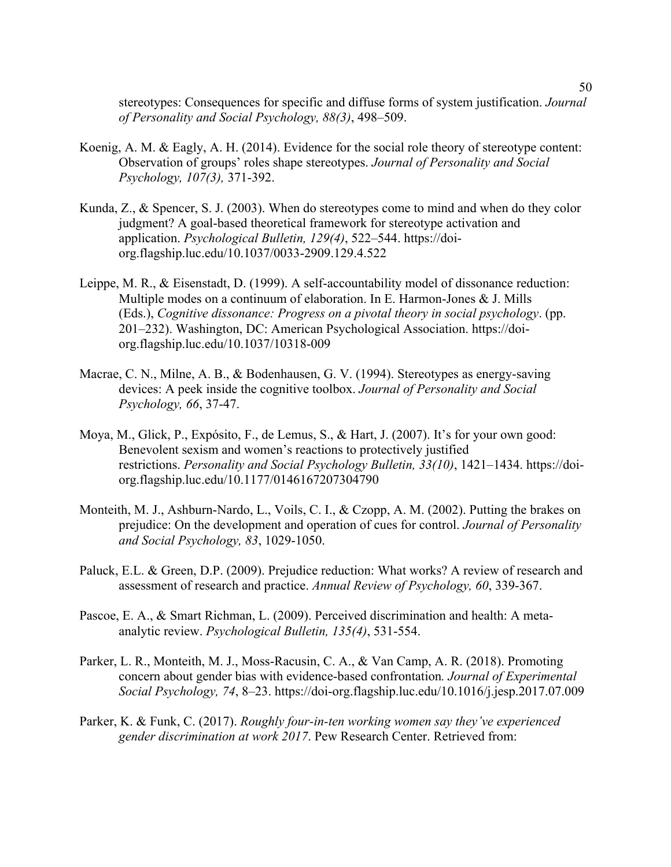stereotypes: Consequences for specific and diffuse forms of system justification. *Journal of Personality and Social Psychology, 88(3)*, 498–509.

- Koenig, A. M. & Eagly, A. H. (2014). Evidence for the social role theory of stereotype content: Observation of groups' roles shape stereotypes. *Journal of Personality and Social Psychology, 107(3),* 371-392.
- Kunda, Z., & Spencer, S. J. (2003). When do stereotypes come to mind and when do they color judgment? A goal-based theoretical framework for stereotype activation and application. *Psychological Bulletin, 129(4)*, 522–544. https://doiorg.flagship.luc.edu/10.1037/0033-2909.129.4.522
- Leippe, M. R., & Eisenstadt, D. (1999). A self-accountability model of dissonance reduction: Multiple modes on a continuum of elaboration. In E. Harmon-Jones & J. Mills (Eds.), *Cognitive dissonance: Progress on a pivotal theory in social psychology*. (pp. 201–232). Washington, DC: American Psychological Association. https://doiorg.flagship.luc.edu/10.1037/10318-009
- Macrae, C. N., Milne, A. B., & Bodenhausen, G. V. (1994). Stereotypes as energy-saving devices: A peek inside the cognitive toolbox. *Journal of Personality and Social Psychology, 66*, 37-47.
- Moya, M., Glick, P., Expósito, F., de Lemus, S., & Hart, J. (2007). It's for your own good: Benevolent sexism and women's reactions to protectively justified restrictions. *Personality and Social Psychology Bulletin, 33(10)*, 1421–1434. https://doiorg.flagship.luc.edu/10.1177/0146167207304790
- Monteith, M. J., Ashburn-Nardo, L., Voils, C. I., & Czopp, A. M. (2002). Putting the brakes on prejudice: On the development and operation of cues for control. *Journal of Personality and Social Psychology, 83*, 1029-1050.
- Paluck, E.L. & Green, D.P. (2009). Prejudice reduction: What works? A review of research and assessment of research and practice. *Annual Review of Psychology, 60*, 339-367.
- Pascoe, E. A., & Smart Richman, L. (2009). Perceived discrimination and health: A metaanalytic review. *Psychological Bulletin, 135(4)*, 531-554.
- Parker, L. R., Monteith, M. J., Moss-Racusin, C. A., & Van Camp, A. R. (2018). Promoting concern about gender bias with evidence-based confrontation*. Journal of Experimental Social Psychology, 74*, 8–23. https://doi-org.flagship.luc.edu/10.1016/j.jesp.2017.07.009
- Parker, K. & Funk, C. (2017). *Roughly four-in-ten working women say they've experienced gender discrimination at work 2017*. Pew Research Center. Retrieved from: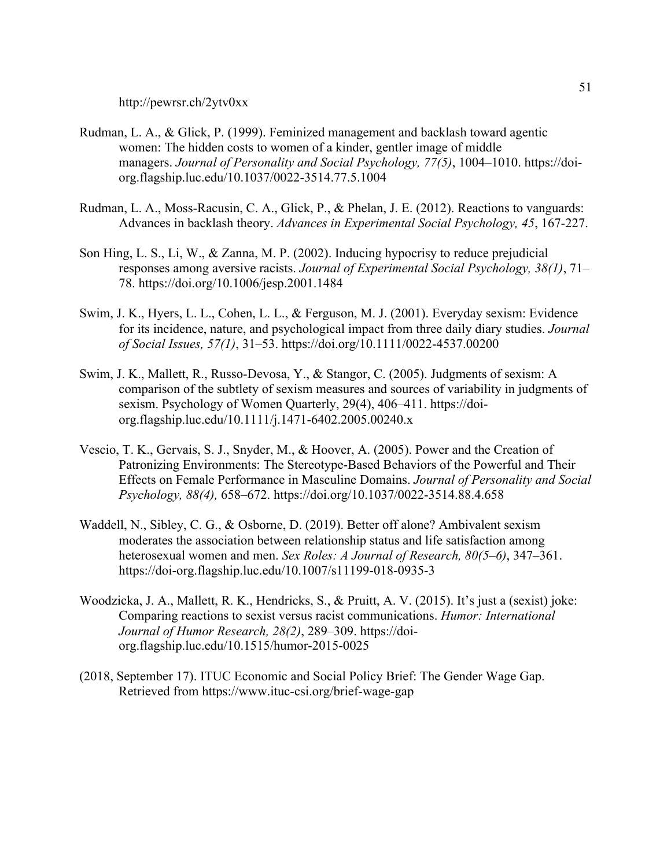http://pewrsr.ch/2ytv0xx

- Rudman, L. A., & Glick, P. (1999). Feminized management and backlash toward agentic women: The hidden costs to women of a kinder, gentler image of middle managers. *Journal of Personality and Social Psychology, 77(5)*, 1004–1010. https://doiorg.flagship.luc.edu/10.1037/0022-3514.77.5.1004
- Rudman, L. A., Moss-Racusin, C. A., Glick, P., & Phelan, J. E. (2012). Reactions to vanguards: Advances in backlash theory. *Advances in Experimental Social Psychology, 45*, 167-227.
- Son Hing, L. S., Li, W., & Zanna, M. P. (2002). Inducing hypocrisy to reduce prejudicial responses among aversive racists. *Journal of Experimental Social Psychology, 38(1)*, 71– 78. https://doi.org/10.1006/jesp.2001.1484
- Swim, J. K., Hyers, L. L., Cohen, L. L., & Ferguson, M. J. (2001). Everyday sexism: Evidence for its incidence, nature, and psychological impact from three daily diary studies. *Journal of Social Issues, 57(1)*, 31–53. https://doi.org/10.1111/0022-4537.00200
- Swim, J. K., Mallett, R., Russo-Devosa, Y., & Stangor, C. (2005). Judgments of sexism: A comparison of the subtlety of sexism measures and sources of variability in judgments of sexism. Psychology of Women Quarterly, 29(4), 406–411. https://doiorg.flagship.luc.edu/10.1111/j.1471-6402.2005.00240.x
- Vescio, T. K., Gervais, S. J., Snyder, M., & Hoover, A. (2005). Power and the Creation of Patronizing Environments: The Stereotype-Based Behaviors of the Powerful and Their Effects on Female Performance in Masculine Domains. *Journal of Personality and Social Psychology, 88(4),* 658–672. https://doi.org/10.1037/0022-3514.88.4.658
- Waddell, N., Sibley, C. G., & Osborne, D. (2019). Better off alone? Ambivalent sexism moderates the association between relationship status and life satisfaction among heterosexual women and men. *Sex Roles: A Journal of Research, 80(5–6)*, 347–361. https://doi-org.flagship.luc.edu/10.1007/s11199-018-0935-3
- Woodzicka, J. A., Mallett, R. K., Hendricks, S., & Pruitt, A. V. (2015). It's just a (sexist) joke: Comparing reactions to sexist versus racist communications. *Humor: International Journal of Humor Research, 28(2)*, 289–309. https://doiorg.flagship.luc.edu/10.1515/humor-2015-0025
- (2018, September 17). ITUC Economic and Social Policy Brief: The Gender Wage Gap. Retrieved from https://www.ituc-csi.org/brief-wage-gap